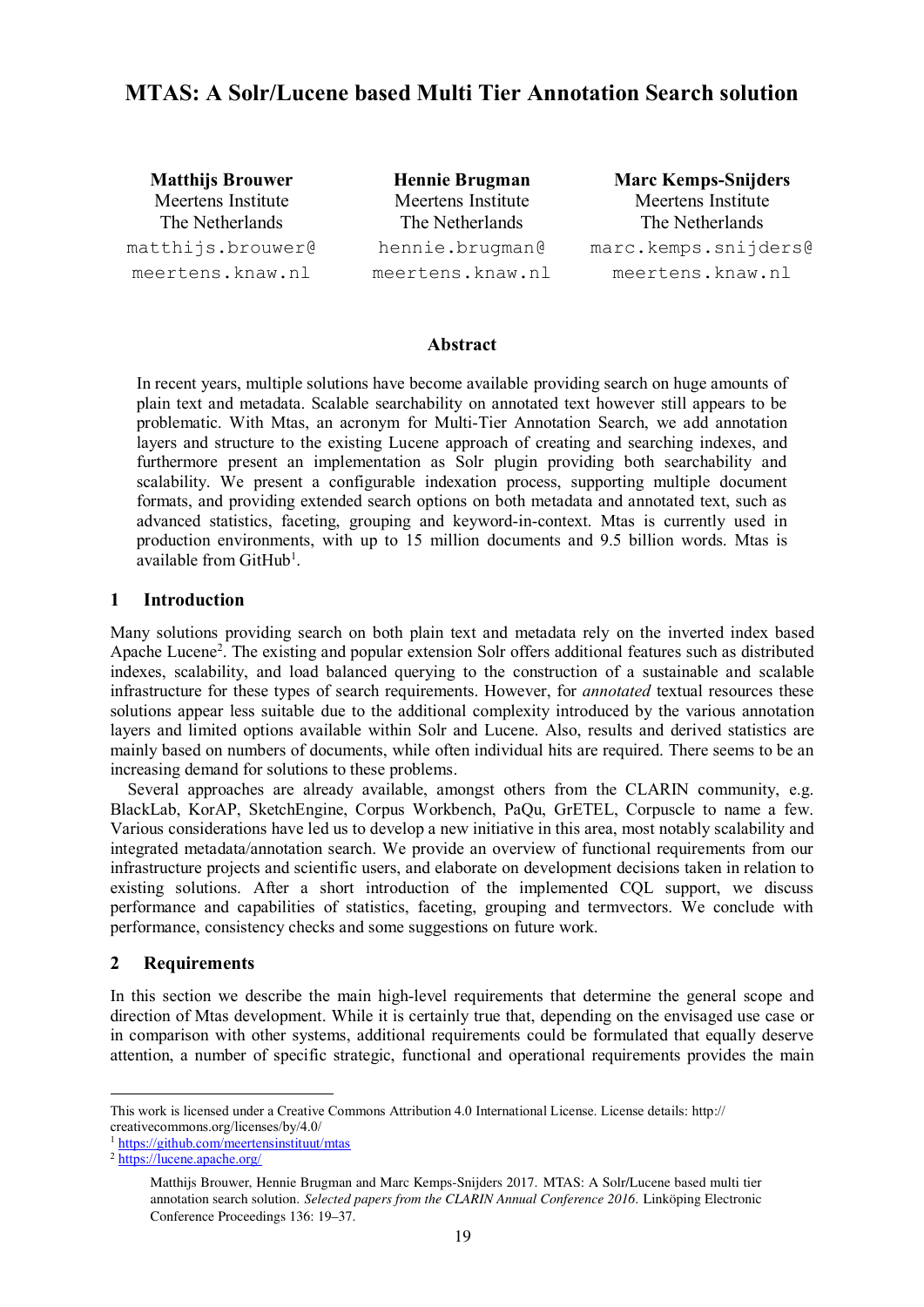# **MTAS: A Solr/Lucene based Multi Tier Annotation Search solution**

Matthijs Brouwer Meertens Institute The Netherlands matthijs.brouwer@ meertens.knaw.nl

Hennie Brugman Meertens Institute The Netherlands hennie.brugman@ meertens.knaw.nl

Marc Kemps-Snijders Meertens Institute The Netherlands marc.kemps.snijders@ meertens.knaw.nl

### **Abstract**

In recent years, multiple solutions have become available providing search on huge amounts of plain text and metadata. Scalable searchability on annotated text however still appears to be problematic. With Mtas, an acronym for Multi-Tier Annotation Search, we add annotation layers and structure to the existing Lucene approach of creating and searching indexes, and furthermore present an implementation as Solr plugin providing both searchability and scalability. We present a configurable indexation process, supporting multiple document formats, and providing extended search options on both metadata and annotated text, such as advanced statistics, faceting, grouping and keyword-in-context. Mtas is currently used in production environments, with up to 15 million documents and 9.5 billion words. Mtas is available from GitHub<sup>1</sup>.

# **1 Introduction**

Many solutions providing search on both plain text and metadata rely on the inverted index based Apache Lucene<sup>2</sup>. The existing and popular extension Solr offers additional features such as distributed indexes, scalability, and load balanced querying to the construction of a sustainable and scalable infrastructure for these types of search requirements. However, for *annotated* textual resources these solutions appear less suitable due to the additional complexity introduced by the various annotation layers and limited options available within Solr and Lucene. Also, results and derived statistics are mainly based on numbers of documents, while often individual hits are required. There seems to be an increasing demand for solutions to these problems.

Several approaches are already available, amongst others from the CLARIN community, e.g. BlackLab, KorAP, SketchEngine, Corpus Workbench, PaQu, GrETEL, Corpuscle to name a few. Various considerations have led us to develop a new initiative in this area, most notably scalability and integrated metadata/annotation search. We provide an overview of functional requirements from our infrastructure projects and scientific users, and elaborate on development decisions taken in relation to existing solutions. After a short introduction of the implemented CQL support, we discuss performance and capabilities of statistics, faceting, grouping and termvectors. We conclude with performance, consistency checks and some suggestions on future work.

# **2 Requirements**

In this section we describe the main high-level requirements that determine the general scope and direction of Mtas development. While it is certainly true that, depending on the envisaged use case or in comparison with other systems, additional requirements could be formulated that equally deserve attention, a number of specific strategic, functional and operational requirements provides the main

 This work is licensed under a Creative Commons Attribution 4.0 International License. License details: http:// creativecommons.org/licenses/by/4.0/

<sup>&</sup>lt;sup>1</sup> https://github.com/meertensinstituut/mtas

<sup>2</sup> https://lucene.apache.org/

Matthijs Brouwer, Hennie Brugman and Marc Kemps-Snijders 2017. MTAS: A Solr/Lucene based multi tier annotation search solution. *Selected papers from the CLARIN Annual Conference 2016*. Linköping Electronic Conference Proceedings 136: 19–37.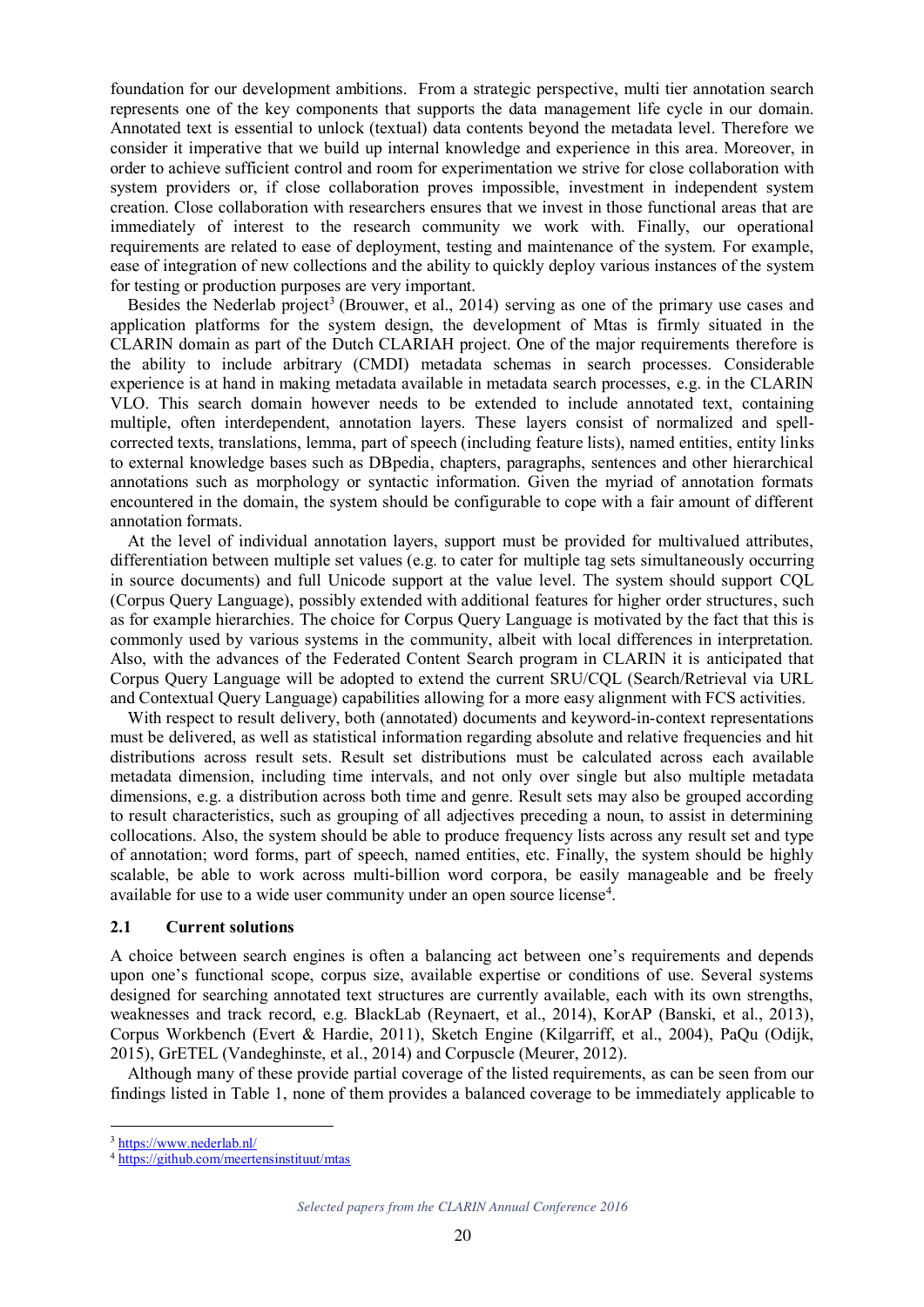foundation for our development ambitions. From a strategic perspective, multi tier annotation search represents one of the key components that supports the data management life cycle in our domain. Annotated text is essential to unlock (textual) data contents beyond the metadata level. Therefore we consider it imperative that we build up internal knowledge and experience in this area. Moreover, in order to achieve sufficient control and room for experimentation we strive for close collaboration with system providers or, if close collaboration proves impossible, investment in independent system creation. Close collaboration with researchers ensures that we invest in those functional areas that are immediately of interest to the research community we work with. Finally, our operational requirements are related to ease of deployment, testing and maintenance of the system. For example, ease of integration of new collections and the ability to quickly deploy various instances of the system for testing or production purposes are very important.

Besides the Nederlab project<sup>3</sup> (Brouwer, et al., 2014) serving as one of the primary use cases and application platforms for the system design, the development of Mtas is firmly situated in the CLARIN domain as part of the Dutch CLARIAH project. One of the major requirements therefore is the ability to include arbitrary (CMDI) metadata schemas in search processes. Considerable experience is at hand in making metadata available in metadata search processes, e.g. in the CLARIN VLO. This search domain however needs to be extended to include annotated text, containing multiple, often interdependent, annotation layers. These layers consist of normalized and spellcorrected texts, translations, lemma, part of speech (including feature lists), named entities, entity links to external knowledge bases such as DBpedia, chapters, paragraphs, sentences and other hierarchical annotations such as morphology or syntactic information. Given the myriad of annotation formats encountered in the domain, the system should be configurable to cope with a fair amount of different annotation formats.

At the level of individual annotation layers, support must be provided for multivalued attributes, differentiation between multiple set values (e.g. to cater for multiple tag sets simultaneously occurring in source documents) and full Unicode support at the value level. The system should support CQL (Corpus Query Language), possibly extended with additional features for higher order structures, such as for example hierarchies. The choice for Corpus Query Language is motivated by the fact that this is commonly used by various systems in the community, albeit with local differences in interpretation. Also, with the advances of the Federated Content Search program in CLARIN it is anticipated that Corpus Query Language will be adopted to extend the current SRU/CQL (Search/Retrieval via URL and Contextual Query Language) capabilities allowing for a more easy alignment with FCS activities.

With respect to result delivery, both (annotated) documents and keyword-in-context representations must be delivered, as well as statistical information regarding absolute and relative frequencies and hit distributions across result sets. Result set distributions must be calculated across each available metadata dimension, including time intervals, and not only over single but also multiple metadata dimensions, e.g. a distribution across both time and genre. Result sets may also be grouped according to result characteristics, such as grouping of all adjectives preceding a noun, to assist in determining collocations. Also, the system should be able to produce frequency lists across any result set and type of annotation; word forms, part of speech, named entities, etc. Finally, the system should be highly scalable, be able to work across multi-billion word corpora, be easily manageable and be freely available for use to a wide user community under an open source license 4 .

#### **2.1 Current solutions**

A choice between search engines is often a balancing act between one's requirements and depends upon one's functional scope, corpus size, available expertise or conditions of use. Several systems designed for searching annotated text structures are currently available, each with its own strengths, weaknesses and track record, e.g. BlackLab (Reynaert, et al., 2014), KorAP (Banski, et al., 2013), Corpus Workbench (Evert & Hardie, 2011), Sketch Engine (Kilgarriff, et al., 2004), PaQu (Odijk, 2015), GrETEL (Vandeghinste, et al., 2014) and Corpuscle (Meurer, 2012).

Although many of these provide partial coverage of the listed requirements, as can be seen from our findings listed in Table 1, none of them provides a balanced coverage to be immediately applicable to

 <sup>3</sup> https://www.nederlab.nl/

<sup>4</sup> https://github.com/meertensinstituut/mtas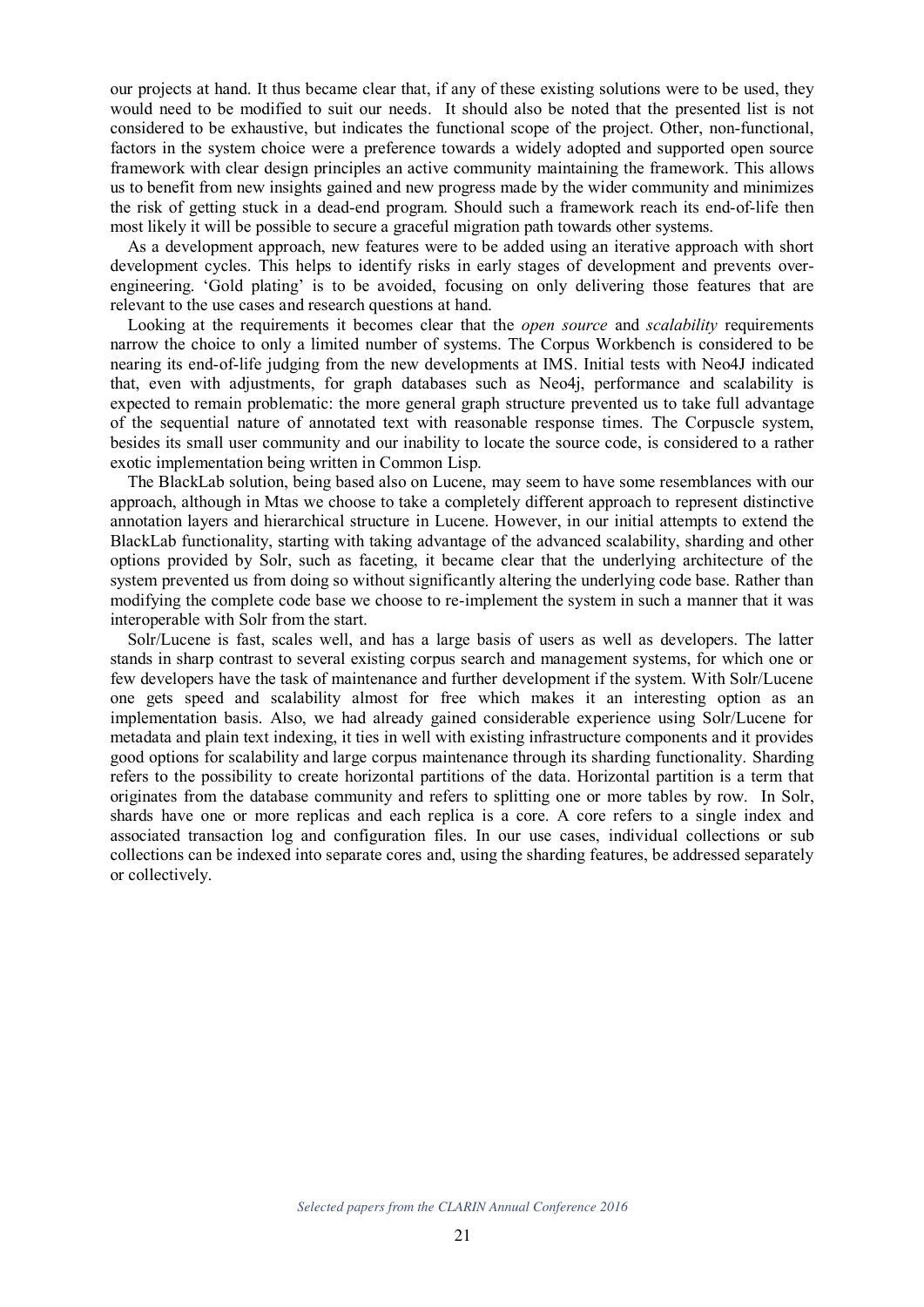our projects at hand. It thus became clear that, if any of these existing solutions were to be used, they would need to be modified to suit our needs. It should also be noted that the presented list is not considered to be exhaustive, but indicates the functional scope of the project. Other, non-functional, factors in the system choice were a preference towards a widely adopted and supported open source framework with clear design principles an active community maintaining the framework. This allows us to benefit from new insights gained and new progress made by the wider community and minimizes the risk of getting stuck in a dead-end program. Should such a framework reach its end-of-life then most likely it will be possible to secure a graceful migration path towards other systems.

As a development approach, new features were to be added using an iterative approach with short development cycles. This helps to identify risks in early stages of development and prevents overengineering. 'Gold plating' is to be avoided, focusing on only delivering those features that are relevant to the use cases and research questions at hand.

Looking at the requirements it becomes clear that the *open source* and *scalability* requirements narrow the choice to only a limited number of systems. The Corpus Workbench is considered to be nearing its end-of-life judging from the new developments at IMS. Initial tests with Neo4J indicated that, even with adjustments, for graph databases such as Neo4j, performance and scalability is expected to remain problematic: the more general graph structure prevented us to take full advantage of the sequential nature of annotated text with reasonable response times. The Corpuscle system, besides its small user community and our inability to locate the source code, is considered to a rather exotic implementation being written in Common Lisp.

The BlackLab solution, being based also on Lucene, may seem to have some resemblances with our approach, although in Mtas we choose to take a completely different approach to represent distinctive annotation layers and hierarchical structure in Lucene. However, in our initial attempts to extend the BlackLab functionality, starting with taking advantage of the advanced scalability, sharding and other options provided by Solr, such as faceting, it became clear that the underlying architecture of the system prevented us from doing so without significantly altering the underlying code base. Rather than modifying the complete code base we choose to re-implement the system in such a manner that it was interoperable with Solr from the start.

Solr/Lucene is fast, scales well, and has a large basis of users as well as developers. The latter stands in sharp contrast to several existing corpus search and management systems, for which one or few developers have the task of maintenance and further development if the system. With Solr/Lucene one gets speed and scalability almost for free which makes it an interesting option as an implementation basis. Also, we had already gained considerable experience using Solr/Lucene for metadata and plain text indexing, it ties in well with existing infrastructure components and it provides good options for scalability and large corpus maintenance through its sharding functionality. Sharding refers to the possibility to create horizontal partitions of the data. Horizontal partition is a term that originates from the database community and refers to splitting one or more tables by row. In Solr, shards have one or more replicas and each replica is a core. A core refers to a single index and associated transaction log and configuration files. In our use cases, individual collections or sub collections can be indexed into separate cores and, using the sharding features, be addressed separately or collectively.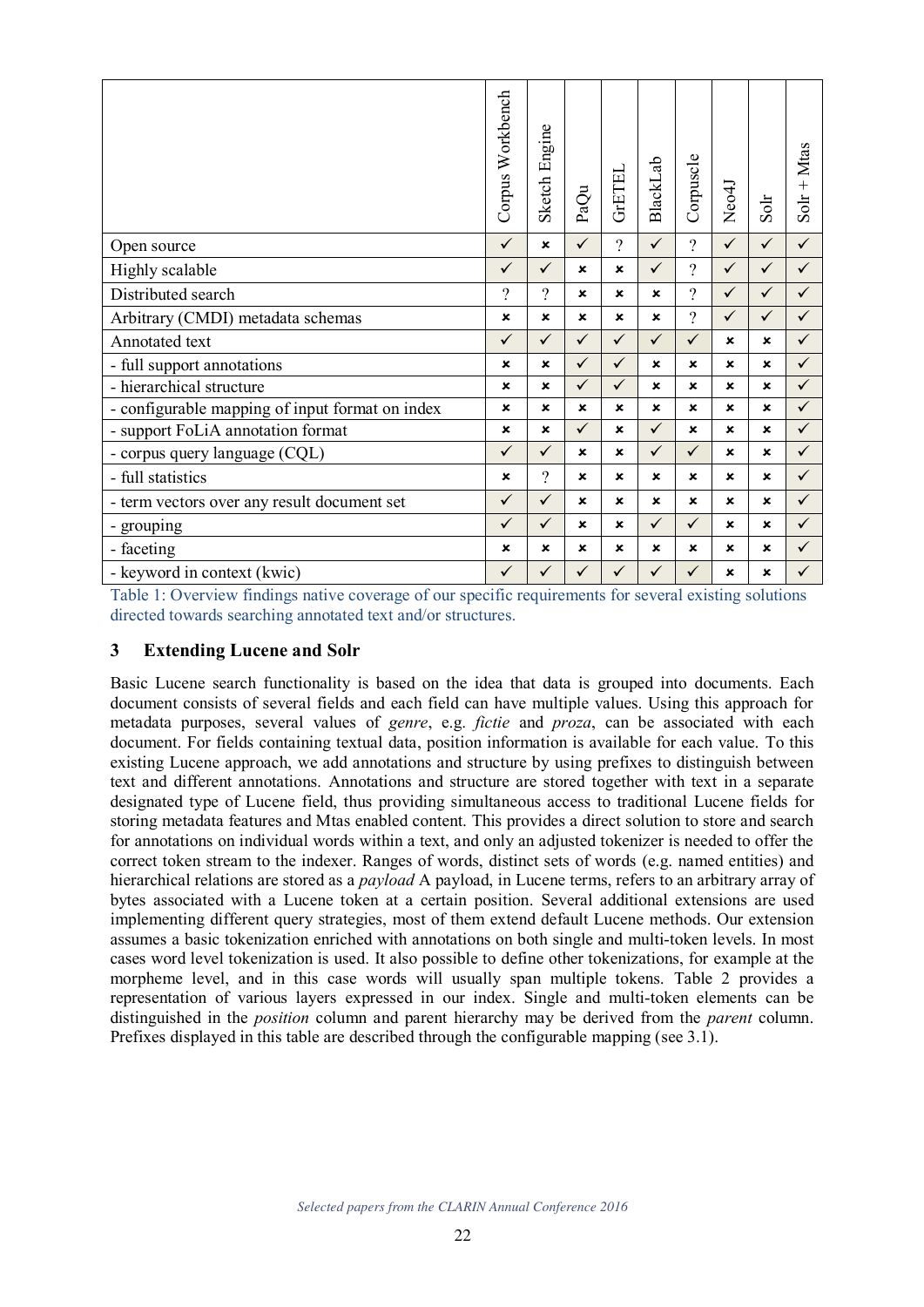|                                                 | Corpus Workbench          | Sketch Engine             | PaQu                      | <b>GrETEL</b>             | <b>BlackLab</b> | Corpuscle    | Neo4J        | Solr         | $S$ olr + Mtas |
|-------------------------------------------------|---------------------------|---------------------------|---------------------------|---------------------------|-----------------|--------------|--------------|--------------|----------------|
| Open source                                     | $\checkmark$              | ×                         | $\checkmark$              | $\gamma$                  | $\checkmark$    | $\gamma$     | $\checkmark$ | $\checkmark$ | $\checkmark$   |
| Highly scalable                                 | $\checkmark$              | $\checkmark$              | $\boldsymbol{x}$          | $\boldsymbol{\mathsf{x}}$ | $\checkmark$    | $\gamma$     | $\checkmark$ | ✓            | $\checkmark$   |
| Distributed search                              | ?                         | $\gamma$                  | $\boldsymbol{\mathsf{x}}$ | $\mathbf x$               | $\mathbf x$     | $\gamma$     | $\checkmark$ | $\checkmark$ | $\checkmark$   |
| Arbitrary (CMDI) metadata schemas               | $\pmb{\times}$            | $\boldsymbol{\mathsf{x}}$ | $\mathbf x$               | $\mathbf x$               | $\mathbf x$     | $\gamma$     | ✓            | ✓            | $\checkmark$   |
| Annotated text                                  | $\checkmark$              | $\checkmark$              | $\checkmark$              | $\checkmark$              | $\checkmark$    | $\checkmark$ | ×            | ×            | $\checkmark$   |
| - full support annotations                      | ×                         | ×                         | $\checkmark$              | $\checkmark$              | $\mathbf x$     | $\mathbf x$  | $\mathbf x$  | ×            | $\checkmark$   |
| - hierarchical structure                        | $\boldsymbol{\mathsf{x}}$ | ×                         | $\checkmark$              | $\checkmark$              | $\mathbf x$     | $\mathbf x$  | $\mathbf x$  | $\mathbf x$  | $\checkmark$   |
| - configurable mapping of input format on index | $\pmb{\times}$            | ×                         | $\boldsymbol{x}$          | $\pmb{\times}$            | ×               | $\mathbf x$  | $\mathbf x$  | ×            | $\checkmark$   |
| - support FoLiA annotation format               | ×                         | ×                         | $\checkmark$              | $\boldsymbol{\mathsf{x}}$ | $\checkmark$    | $\mathbf x$  | $\mathbf x$  | ×            | $\checkmark$   |
| - corpus query language (CQL)                   | $\checkmark$              | $\checkmark$              | $\mathbf x$               | $\pmb{\times}$            | $\checkmark$    | $\checkmark$ | $\mathbf x$  | ×            | $\checkmark$   |
| - full statistics                               | ×                         | $\gamma$                  | $\boldsymbol{\mathsf{x}}$ | $\mathbf x$               | ×               | $\mathbf x$  | $\mathbf x$  | ×            | $\checkmark$   |
| - term vectors over any result document set     | $\checkmark$              | $\checkmark$              | $\mathbf x$               | $\boldsymbol{\mathsf{x}}$ | $\mathbf x$     | $\mathbf x$  | $\mathbf x$  | $\mathbf x$  | $\checkmark$   |
| - grouping                                      | $\checkmark$              | $\checkmark$              | $\mathbf x$               | $\boldsymbol{\mathsf{x}}$ | $\checkmark$    | $\checkmark$ | ×            | ×            | $\checkmark$   |
| - faceting                                      | $\boldsymbol{\mathsf{x}}$ | ×                         | $\mathbf x$               | $\boldsymbol{\mathsf{x}}$ | $\mathbf x$     | $\mathbf x$  | $\mathbf x$  | $\mathbf x$  | $\checkmark$   |
| - keyword in context (kwic)                     | $\checkmark$              | ✓                         | $\checkmark$              | $\checkmark$              | $\checkmark$    | ✓            | ×            | ×            | $\checkmark$   |

Table 1: Overview findings native coverage of our specific requirements for several existing solutions directed towards searching annotated text and/or structures.

# **3 Extending Lucene and Solr**

Basic Lucene search functionality is based on the idea that data is grouped into documents. Each document consists of several fields and each field can have multiple values. Using this approach for metadata purposes, several values of *genre*, e.g. *fictie* and *proza*, can be associated with each document. For fields containing textual data, position information is available for each value. To this existing Lucene approach, we add annotations and structure by using prefixes to distinguish between text and different annotations. Annotations and structure are stored together with text in a separate designated type of Lucene field, thus providing simultaneous access to traditional Lucene fields for storing metadata features and Mtas enabled content. This provides a direct solution to store and search for annotations on individual words within a text, and only an adjusted tokenizer is needed to offer the correct token stream to the indexer. Ranges of words, distinct sets of words (e.g. named entities) and hierarchical relations are stored as a *payload* A payload, in Lucene terms, refers to an arbitrary array of bytes associated with a Lucene token at a certain position. Several additional extensions are used implementing different query strategies, most of them extend default Lucene methods. Our extension assumes a basic tokenization enriched with annotations on both single and multi-token levels. In most cases word level tokenization is used. It also possible to define other tokenizations, for example at the morpheme level, and in this case words will usually span multiple tokens. Table 2 provides a representation of various layers expressed in our index. Single and multi-token elements can be distinguished in the *position* column and parent hierarchy may be derived from the *parent* column. Prefixes displayed in this table are described through the configurable mapping (see 3.1).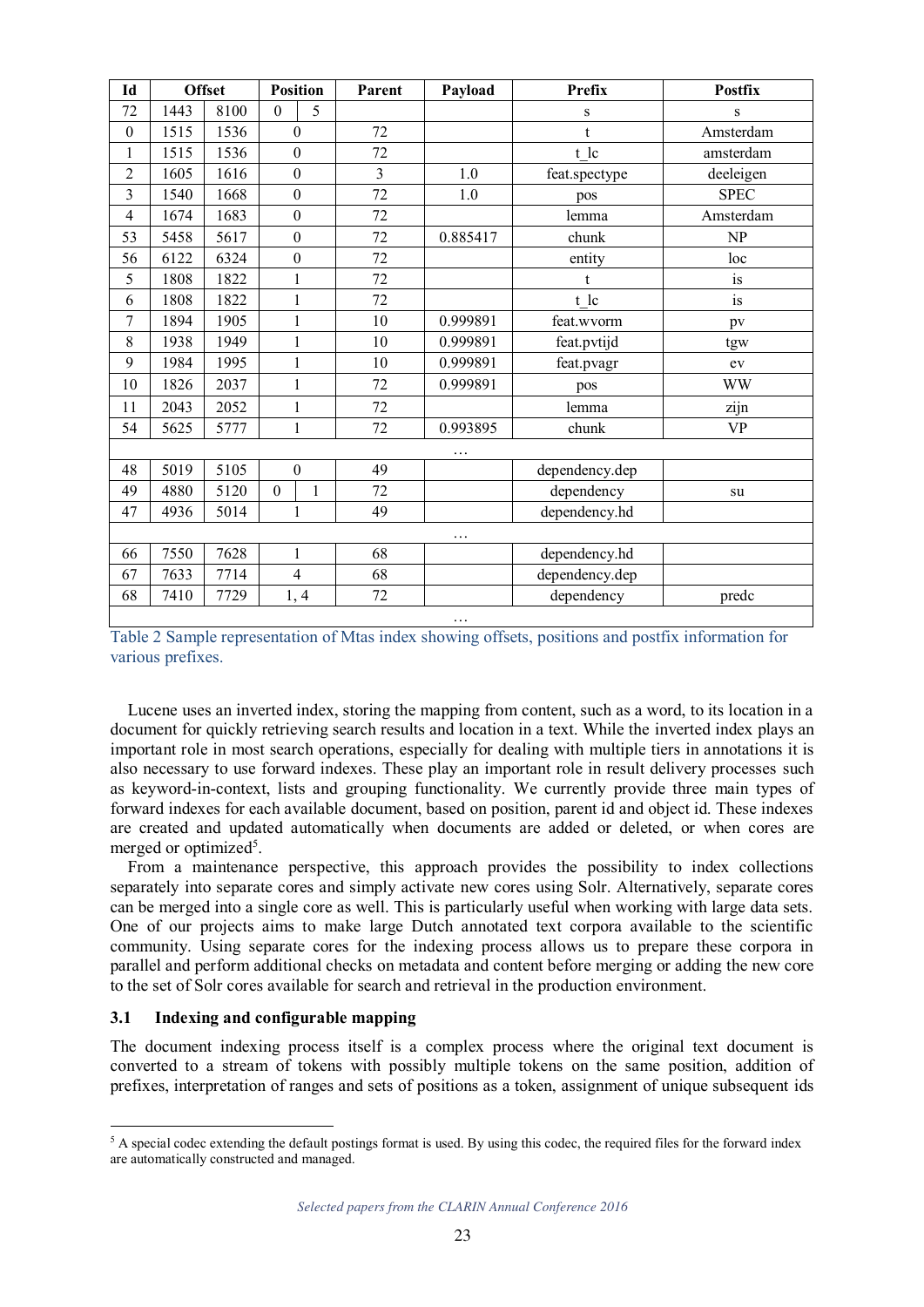| Id               |      | <b>Offset</b> |                  | <b>Position</b>  | Parent         | Payload  | <b>Prefix</b>  | <b>Postfix</b> |
|------------------|------|---------------|------------------|------------------|----------------|----------|----------------|----------------|
| 72               | 1443 | 8100          | $\mathbf{0}$     | 5                |                |          | $\bf S$        | S              |
| $\boldsymbol{0}$ | 1515 | 1536          | $\boldsymbol{0}$ |                  | 72             |          | $\mathbf{t}$   | Amsterdam      |
| 1                | 1515 | 1536          |                  | $\boldsymbol{0}$ | 72             |          | t lc           | amsterdam      |
| $\overline{2}$   | 1605 | 1616          |                  | $\boldsymbol{0}$ | $\overline{3}$ | 1.0      | feat.spectype  | deeleigen      |
| 3                | 1540 | 1668          |                  | $\boldsymbol{0}$ | 72             | 1.0      | pos            | <b>SPEC</b>    |
| $\overline{4}$   | 1674 | 1683          |                  | $\boldsymbol{0}$ | 72             |          | lemma          | Amsterdam      |
| 53               | 5458 | 5617          |                  | $\boldsymbol{0}$ | 72             | 0.885417 | chunk          | NP             |
| 56               | 6122 | 6324          |                  | $\boldsymbol{0}$ | 72             |          | entity         | loc            |
| 5                | 1808 | 1822          |                  | $\mathbf{1}$     | 72             |          | t              | is             |
| 6                | 1808 | 1822          |                  | $\mathbf{1}$     | 72             |          | t lc           | is             |
| 7                | 1894 | 1905          |                  | $\mathbf{1}$     | 10             | 0.999891 | feat.wvorm     | pv             |
| 8                | 1938 | 1949          |                  | $\mathbf{1}$     | 10             | 0.999891 | feat.pvtijd    | tgw            |
| 9                | 1984 | 1995          |                  | 1                | 10             | 0.999891 | feat.pvagr     | ev             |
| 10               | 1826 | 2037          |                  | $\mathbf{1}$     | 72             | 0.999891 | pos            | <b>WW</b>      |
| 11               | 2043 | 2052          |                  | $\mathbf{1}$     | 72             |          | lemma          | zijn           |
| 54               | 5625 | 5777          |                  | $\mathbf{1}$     | 72             | 0.993895 | chunk          | <b>VP</b>      |
|                  |      |               |                  |                  |                | .        |                |                |
| 48               | 5019 | 5105          |                  | $\boldsymbol{0}$ | 49             |          | dependency.dep |                |
| 49               | 4880 | 5120          | $\mathbf{0}$     | 1                | 72             |          | dependency     | su             |
| 47               | 4936 | 5014          |                  | 1                | 49             |          | dependency.hd  |                |
|                  |      |               |                  |                  |                | .        |                |                |
| 66               | 7550 | 7628          |                  | $\mathbf{1}$     | 68             |          | dependency.hd  |                |
| 67               | 7633 | 7714          |                  | $\overline{4}$   | 68             |          | dependency.dep |                |
| 68               | 7410 | 7729          |                  | 1, 4             | 72             |          | dependency     | predc          |
|                  |      |               |                  |                  |                | $\cdots$ |                |                |

Table 2 Sample representation of Mtas index showing offsets, positions and postfix information for various prefixes.

Lucene uses an inverted index, storing the mapping from content, such as a word, to its location in a document for quickly retrieving search results and location in a text. While the inverted index plays an important role in most search operations, especially for dealing with multiple tiers in annotations it is also necessary to use forward indexes. These play an important role in result delivery processes such as keyword-in-context, lists and grouping functionality. We currently provide three main types of forward indexes for each available document, based on position, parent id and object id. These indexes are created and updated automatically when documents are added or deleted, or when cores are merged or optimized<sup>5</sup>.

From a maintenance perspective, this approach provides the possibility to index collections separately into separate cores and simply activate new cores using Solr. Alternatively, separate cores can be merged into a single core as well. This is particularly useful when working with large data sets. One of our projects aims to make large Dutch annotated text corpora available to the scientific community. Using separate cores for the indexing process allows us to prepare these corpora in parallel and perform additional checks on metadata and content before merging or adding the new core to the set of Solr cores available for search and retrieval in the production environment.

#### **3.1 Indexing and configurable mapping**

The document indexing process itself is a complex process where the original text document is converted to a stream of tokens with possibly multiple tokens on the same position, addition of prefixes, interpretation of ranges and sets of positions as a token, assignment of unique subsequent ids

 <sup>5</sup> A special codec extending the default postings format is used. By using this codec, the required files for the forward index are automatically constructed and managed.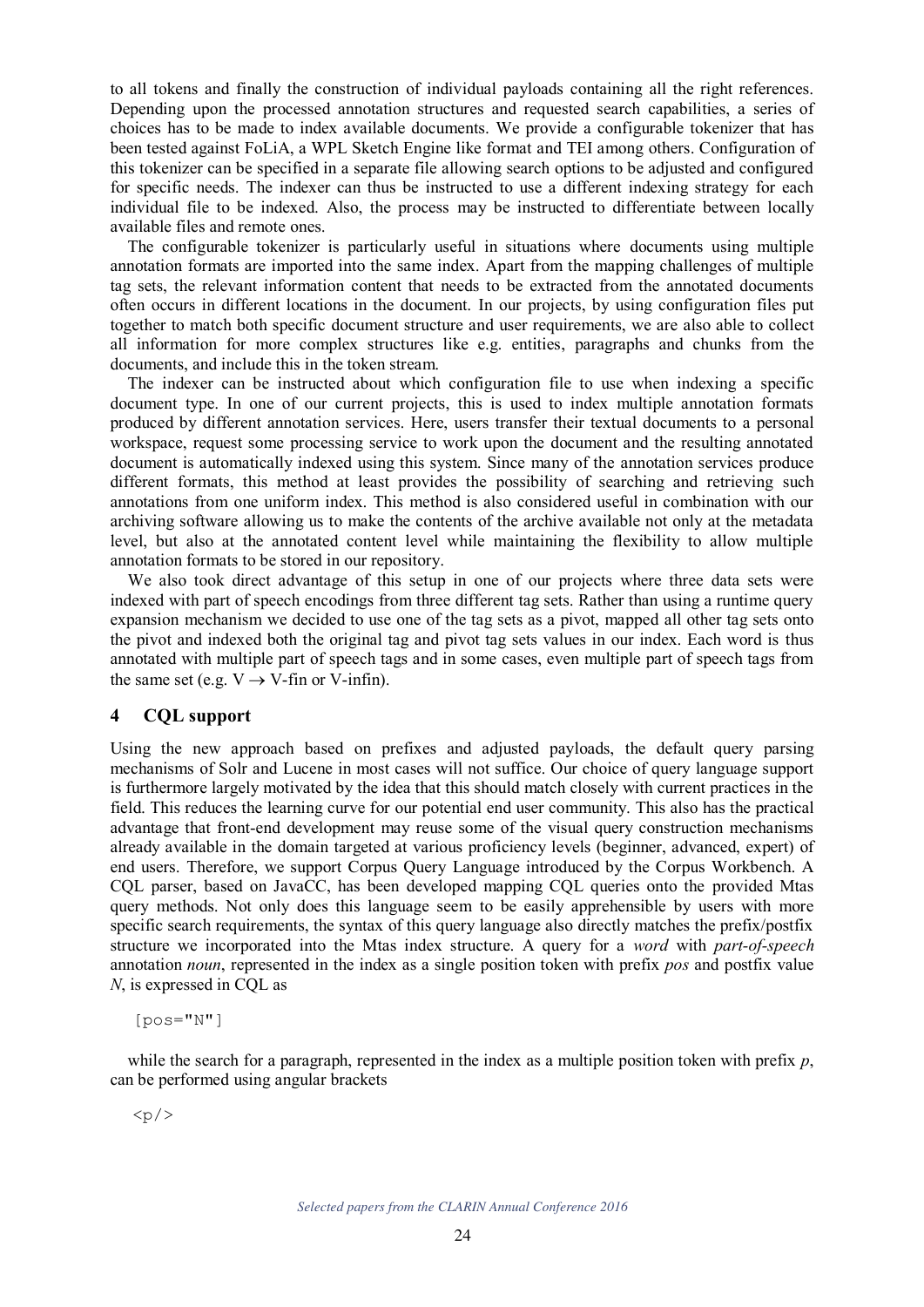to all tokens and finally the construction of individual payloads containing all the right references. Depending upon the processed annotation structures and requested search capabilities, a series of choices has to be made to index available documents. We provide a configurable tokenizer that has been tested against FoLiA, a WPL Sketch Engine like format and TEI among others. Configuration of this tokenizer can be specified in a separate file allowing search options to be adjusted and configured for specific needs. The indexer can thus be instructed to use a different indexing strategy for each individual file to be indexed. Also, the process may be instructed to differentiate between locally available files and remote ones.

The configurable tokenizer is particularly useful in situations where documents using multiple annotation formats are imported into the same index. Apart from the mapping challenges of multiple tag sets, the relevant information content that needs to be extracted from the annotated documents often occurs in different locations in the document. In our projects, by using configuration files put together to match both specific document structure and user requirements, we are also able to collect all information for more complex structures like e.g. entities, paragraphs and chunks from the documents, and include this in the token stream.

The indexer can be instructed about which configuration file to use when indexing a specific document type. In one of our current projects, this is used to index multiple annotation formats produced by different annotation services. Here, users transfer their textual documents to a personal workspace, request some processing service to work upon the document and the resulting annotated document is automatically indexed using this system. Since many of the annotation services produce different formats, this method at least provides the possibility of searching and retrieving such annotations from one uniform index. This method is also considered useful in combination with our archiving software allowing us to make the contents of the archive available not only at the metadata level, but also at the annotated content level while maintaining the flexibility to allow multiple annotation formats to be stored in our repository.

We also took direct advantage of this setup in one of our projects where three data sets were indexed with part of speech encodings from three different tag sets. Rather than using a runtime query expansion mechanism we decided to use one of the tag sets as a pivot, mapped all other tag sets onto the pivot and indexed both the original tag and pivot tag sets values in our index. Each word is thus annotated with multiple part of speech tags and in some cases, even multiple part of speech tags from the same set (e.g.  $V \rightarrow V$ -fin or V-infin).

# **4 CQL support**

Using the new approach based on prefixes and adjusted payloads, the default query parsing mechanisms of Solr and Lucene in most cases will not suffice. Our choice of query language support is furthermore largely motivated by the idea that this should match closely with current practices in the field. This reduces the learning curve for our potential end user community. This also has the practical advantage that front-end development may reuse some of the visual query construction mechanisms already available in the domain targeted at various proficiency levels (beginner, advanced, expert) of end users. Therefore, we support Corpus Query Language introduced by the Corpus Workbench. A CQL parser, based on JavaCC, has been developed mapping CQL queries onto the provided Mtas query methods. Not only does this language seem to be easily apprehensible by users with more specific search requirements, the syntax of this query language also directly matches the prefix/postfix structure we incorporated into the Mtas index structure. A query for a *word* with *part-of-speech* annotation *noun*, represented in the index as a single position token with prefix *pos* and postfix value *N*, is expressed in CQL as

[pos="N"]

while the search for a paragraph, represented in the index as a multiple position token with prefix *p*, can be performed using angular brackets

 $< p / >$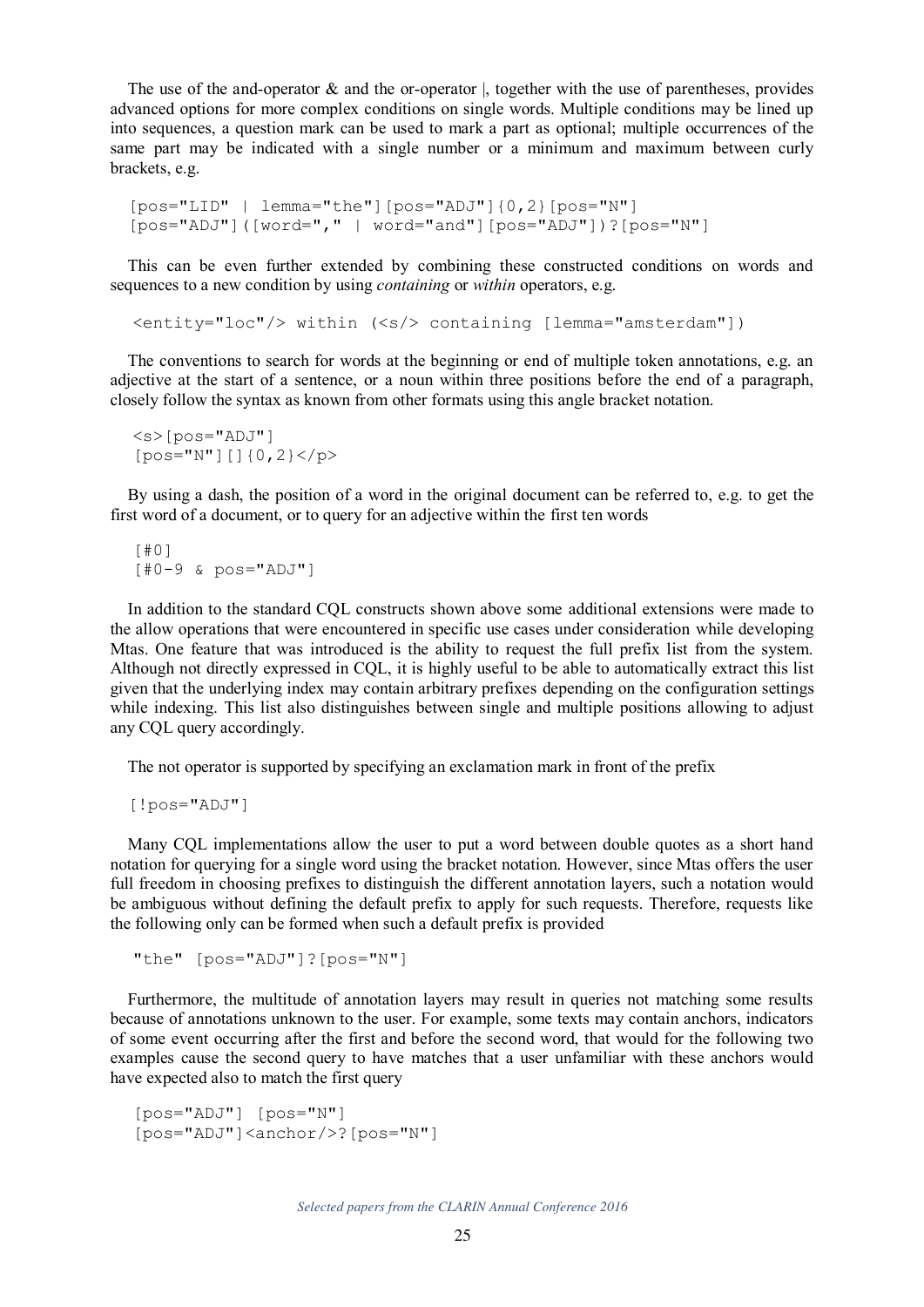The use of the and-operator  $\&$  and the or-operator  $\vert$ , together with the use of parentheses, provides advanced options for more complex conditions on single words. Multiple conditions may be lined up into sequences, a question mark can be used to mark a part as optional; multiple occurrences of the same part may be indicated with a single number or a minimum and maximum between curly brackets, e.g.

```
[pos="LID" | lemma="the"][pos="ADJ"]{0,2}[pos="N"][pos="ADJ"]([word="," | word="and"][pos="ADJ"])?[pos="N"]
```
This can be even further extended by combining these constructed conditions on words and sequences to a new condition by using *containing* or *within* operators, e.g.

<entity="loc"/> within (<s/> containing [lemma="amsterdam"])

The conventions to search for words at the beginning or end of multiple token annotations, e.g. an adjective at the start of a sentence, or a noun within three positions before the end of a paragraph, closely follow the syntax as known from other formats using this angle bracket notation.

<s>[pos="ADJ"] [pos="N"][]{0,2}</p>

By using a dash, the position of a word in the original document can be referred to, e.g. to get the first word of a document, or to query for an adjective within the first ten words

[#0] [#0-9 & pos="ADJ"]

In addition to the standard CQL constructs shown above some additional extensions were made to the allow operations that were encountered in specific use cases under consideration while developing Mtas. One feature that was introduced is the ability to request the full prefix list from the system. Although not directly expressed in CQL, it is highly useful to be able to automatically extract this list given that the underlying index may contain arbitrary prefixes depending on the configuration settings while indexing. This list also distinguishes between single and multiple positions allowing to adjust any CQL query accordingly.

The not operator is supported by specifying an exclamation mark in front of the prefix

[!pos="ADJ"]

Many CQL implementations allow the user to put a word between double quotes as a short hand notation for querying for a single word using the bracket notation. However, since Mtas offers the user full freedom in choosing prefixes to distinguish the different annotation layers, such a notation would be ambiguous without defining the default prefix to apply for such requests. Therefore, requests like the following only can be formed when such a default prefix is provided

"the" [pos="ADJ"]?[pos="N"]

Furthermore, the multitude of annotation layers may result in queries not matching some results because of annotations unknown to the user. For example, some texts may contain anchors, indicators of some event occurring after the first and before the second word, that would for the following two examples cause the second query to have matches that a user unfamiliar with these anchors would have expected also to match the first query

```
[pos="ADJ"] [pos="N"] 
[pos="ADJ"]<anchor/>?[pos="N"]
```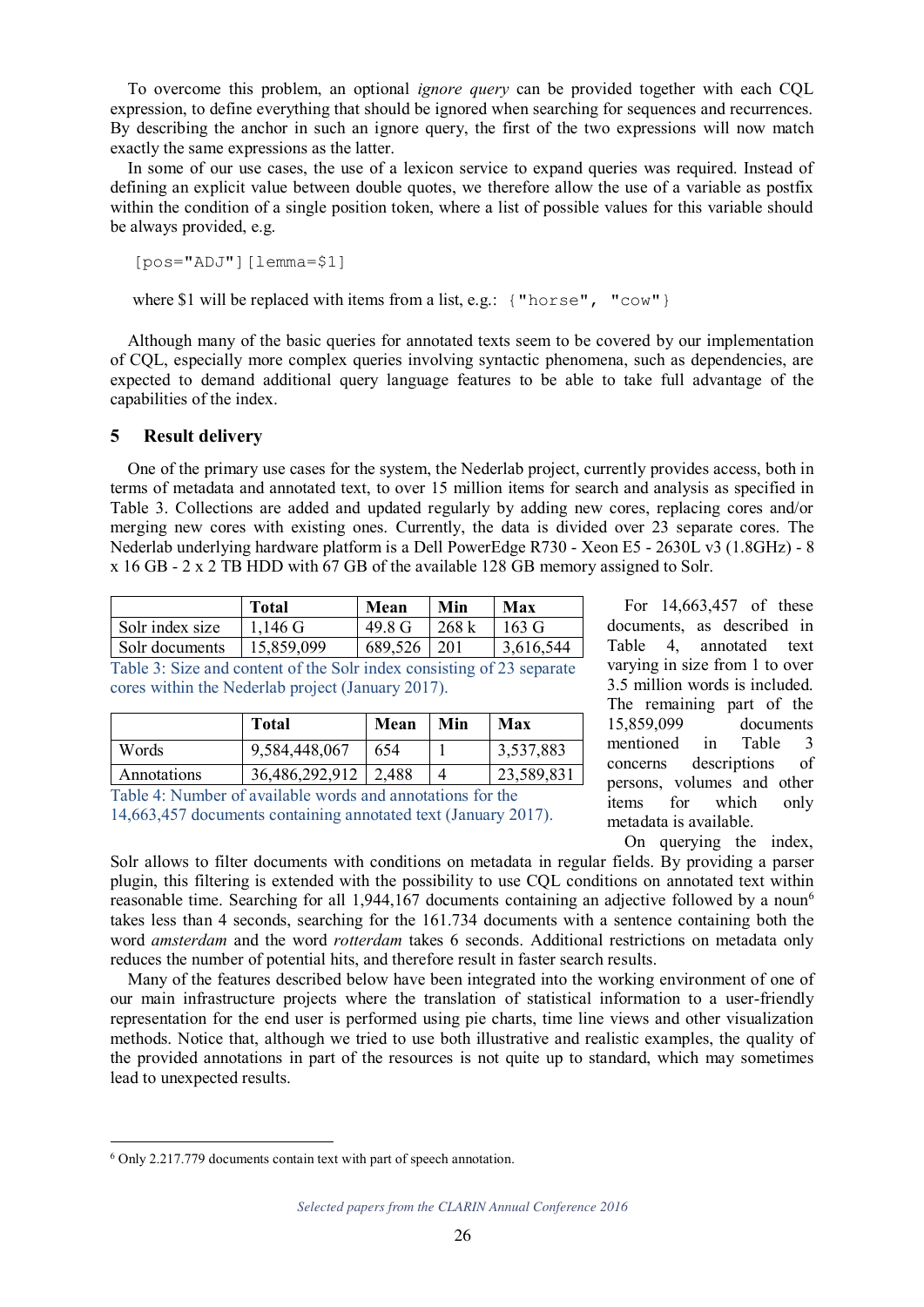To overcome this problem, an optional *ignore query* can be provided together with each CQL expression, to define everything that should be ignored when searching for sequences and recurrences. By describing the anchor in such an ignore query, the first of the two expressions will now match exactly the same expressions as the latter.

In some of our use cases, the use of a lexicon service to expand queries was required. Instead of defining an explicit value between double quotes, we therefore allow the use of a variable as postfix within the condition of a single position token, where a list of possible values for this variable should be always provided, e.g.

[pos="ADJ"][lemma=\$1]

where \$1 will be replaced with items from a list, e.g.: { "horse", " $\text{row"}$ }

Although many of the basic queries for annotated texts seem to be covered by our implementation of CQL, especially more complex queries involving syntactic phenomena, such as dependencies, are expected to demand additional query language features to be able to take full advantage of the capabilities of the index.

### **5 Result delivery**

One of the primary use cases for the system, the Nederlab project, currently provides access, both in terms of metadata and annotated text, to over 15 million items for search and analysis as specified in Table 3. Collections are added and updated regularly by adding new cores, replacing cores and/or merging new cores with existing ones. Currently, the data is divided over 23 separate cores. The Nederlab underlying hardware platform is a Dell PowerEdge R730 - Xeon E5 - 2630L v3 (1.8GHz) - 8 x 16 GB - 2 x 2 TB HDD with 67 GB of the available 128 GB memory assigned to Solr.

|                 | <b>Total</b> | Mean    | Min   | Max             |
|-----------------|--------------|---------|-------|-----------------|
| Solr index size | 1,146 G      | 49.8 G  | 268 k | $163 \text{ G}$ |
| Solr documents  | 15,859,099   | 689,526 | -201  | 3,616,544       |

Table 3: Size and content of the Solr index consisting of 23 separate cores within the Nederlab project (January 2017).

|             | <b>Total</b>   | Mean  | Min | Max        |
|-------------|----------------|-------|-----|------------|
| Words       | 9,584,448,067  | 654   |     | 3,537,883  |
| Annotations | 36,486,292,912 | 2,488 |     | 23,589,831 |

Table 4: Number of available words and annotations for the 14,663,457 documents containing annotated text (January 2017).

For 14,663,457 of these documents, as described in Table 4, annotated text varying in size from 1 to over 3.5 million words is included. The remaining part of the 15,859,099 documents mentioned in Table 3 concerns descriptions of persons, volumes and other items for which only metadata is available.

On querying the index,

Solr allows to filter documents with conditions on metadata in regular fields. By providing a parser plugin, this filtering is extended with the possibility to use CQL conditions on annotated text within reasonable time. Searching for all 1,944,167 documents containing an adjective followed by a noun<sup>6</sup> takes less than 4 seconds, searching for the 161.734 documents with a sentence containing both the word *amsterdam* and the word *rotterdam* takes 6 seconds. Additional restrictions on metadata only reduces the number of potential hits, and therefore result in faster search results.

Many of the features described below have been integrated into the working environment of one of our main infrastructure projects where the translation of statistical information to a user-friendly representation for the end user is performed using pie charts, time line views and other visualization methods. Notice that, although we tried to use both illustrative and realistic examples, the quality of the provided annotations in part of the resources is not quite up to standard, which may sometimes lead to unexpected results.

<sup>6</sup> Only 2.217.779 documents contain text with part of speech annotation.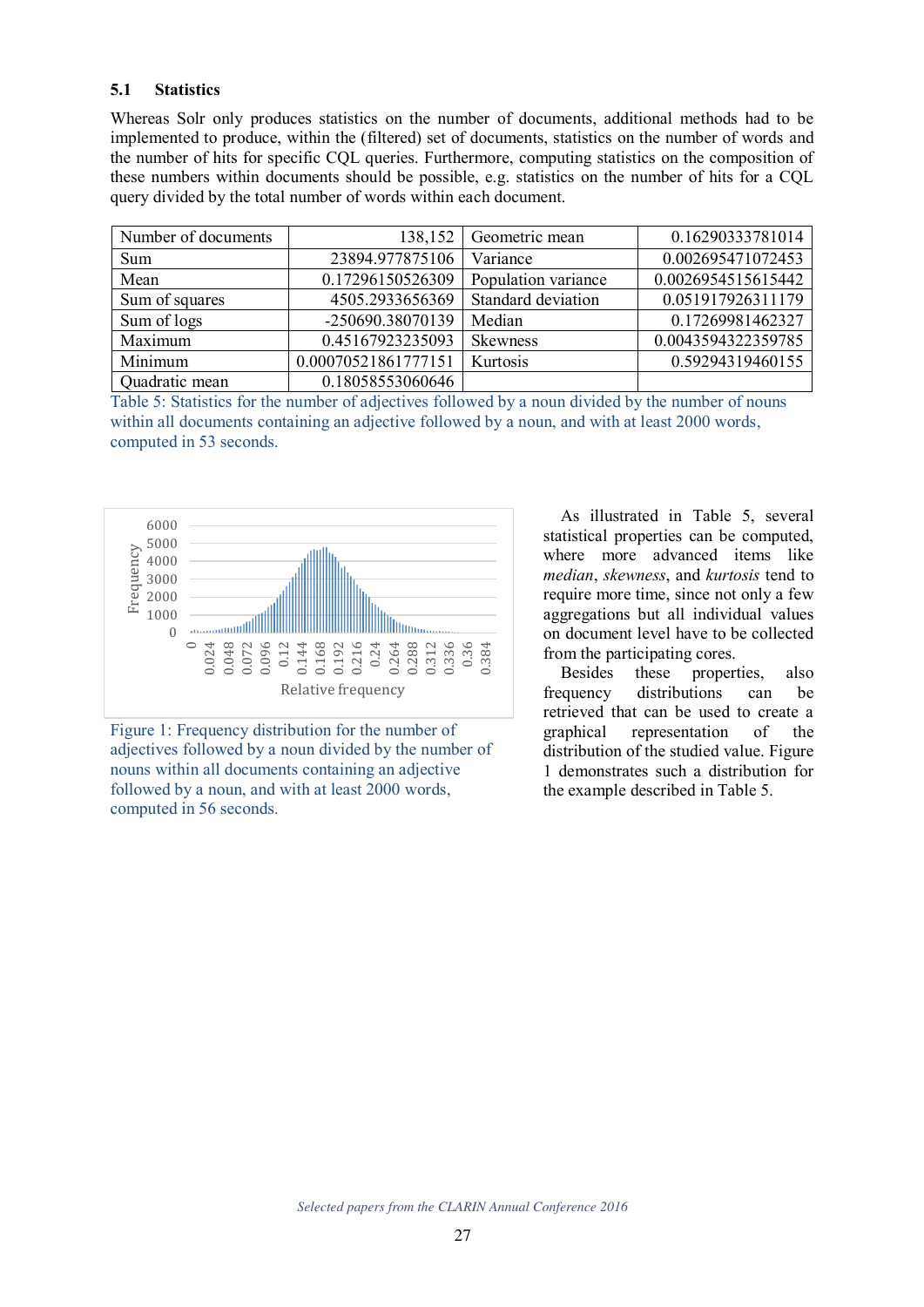# **5.1 Statistics**

Whereas Solr only produces statistics on the number of documents, additional methods had to be implemented to produce, within the (filtered) set of documents, statistics on the number of words and the number of hits for specific CQL queries. Furthermore, computing statistics on the composition of these numbers within documents should be possible, e.g. statistics on the number of hits for a CQL query divided by the total number of words within each document.

| Number of documents | 138,152             | Geometric mean      | 0.16290333781014   |
|---------------------|---------------------|---------------------|--------------------|
| Sum                 | 23894.977875106     | Variance            | 0.002695471072453  |
| Mean                | 0.17296150526309    | Population variance | 0.0026954515615442 |
| Sum of squares      | 4505.2933656369     | Standard deviation  | 0.051917926311179  |
| Sum of logs         | -250690.38070139    | Median              | 0.17269981462327   |
| Maximum             | 0.45167923235093    | <b>Skewness</b>     | 0.0043594322359785 |
| Minimum             | 0.00070521861777151 | Kurtosis            | 0.59294319460155   |
| Quadratic mean      | 0.18058553060646    |                     |                    |

Table 5: Statistics for the number of adjectives followed by a noun divided by the number of nouns within all documents containing an adjective followed by a noun, and with at least 2000 words, computed in 53 seconds.



Figure 1: Frequency distribution for the number of adjectives followed by a noun divided by the number of nouns within all documents containing an adjective followed by a noun, and with at least 2000 words, computed in 56 seconds.

As illustrated in Table 5, several statistical properties can be computed, where more advanced items like *median*, *skewness*, and *kurtosis* tend to require more time, since not only a few aggregations but all individual values on document level have to be collected from the participating cores.

Besides these properties, also frequency distributions can be retrieved that can be used to create a graphical representation of the distribution of the studied value. Figure 1 demonstrates such a distribution for the example described in Table 5.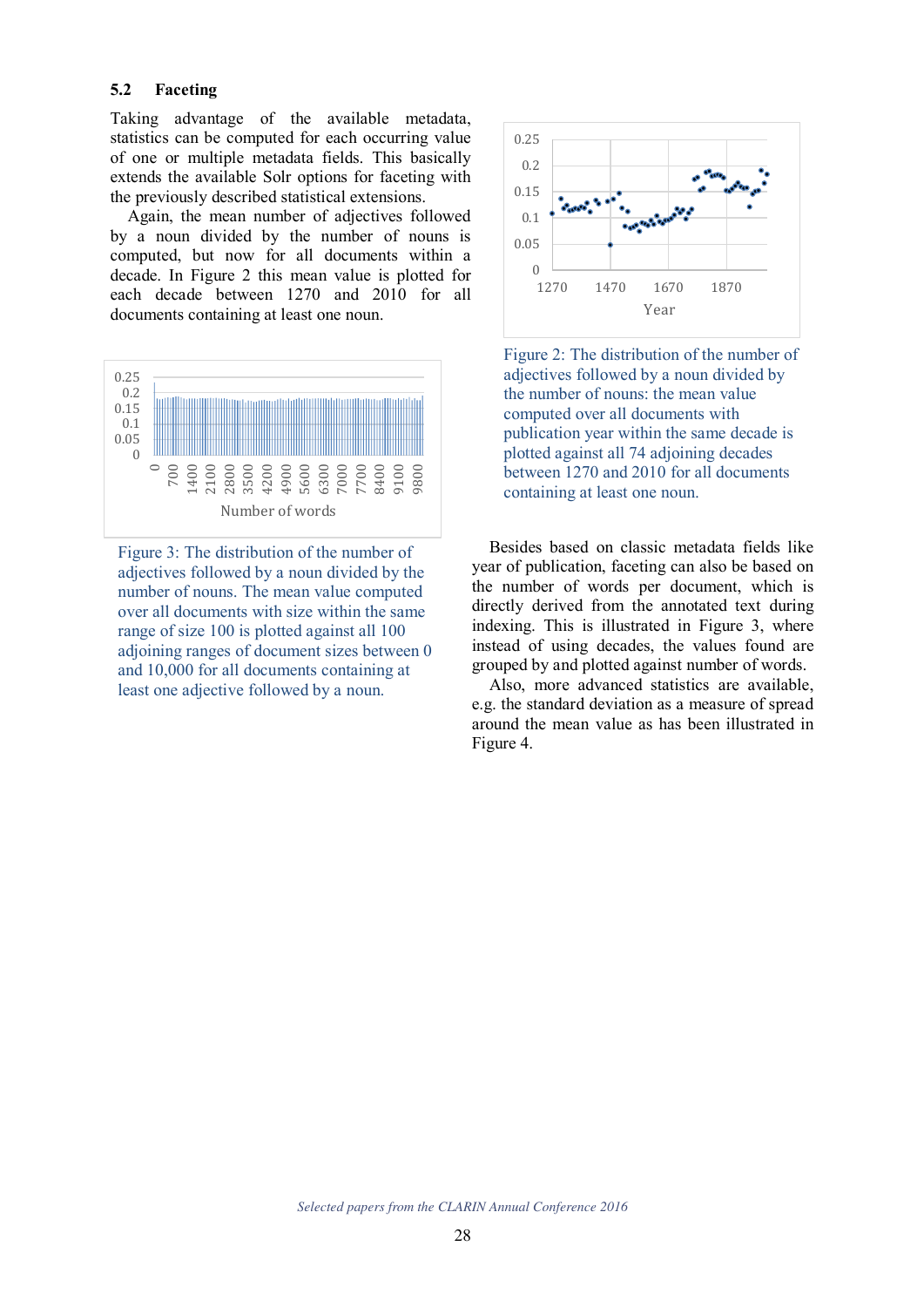#### **5.2 Faceting**

Taking advantage of the available metadata, statistics can be computed for each occurring value of one or multiple metadata fields. This basically extends the available Solr options for faceting with the previously described statistical extensions.

Again, the mean number of adjectives followed by a noun divided by the number of nouns is computed, but now for all documents within a decade. In Figure 2 this mean value is plotted for each decade between 1270 and 2010 for all documents containing at least one noun.



Figure 3: The distribution of the number of adjectives followed by a noun divided by the number of nouns. The mean value computed over all documents with size within the same range of size 100 is plotted against all 100 adjoining ranges of document sizes between 0 and 10,000 for all documents containing at least one adjective followed by a noun.



Figure 2: The distribution of the number of adjectives followed by a noun divided by the number of nouns: the mean value computed over all documents with publication year within the same decade is plotted against all 74 adjoining decades between 1270 and 2010 for all documents containing at least one noun.

Besides based on classic metadata fields like year of publication, faceting can also be based on the number of words per document, which is directly derived from the annotated text during indexing. This is illustrated in Figure 3, where instead of using decades, the values found are grouped by and plotted against number of words.

Also, more advanced statistics are available, e.g. the standard deviation as a measure of spread around the mean value as has been illustrated in Figure 4.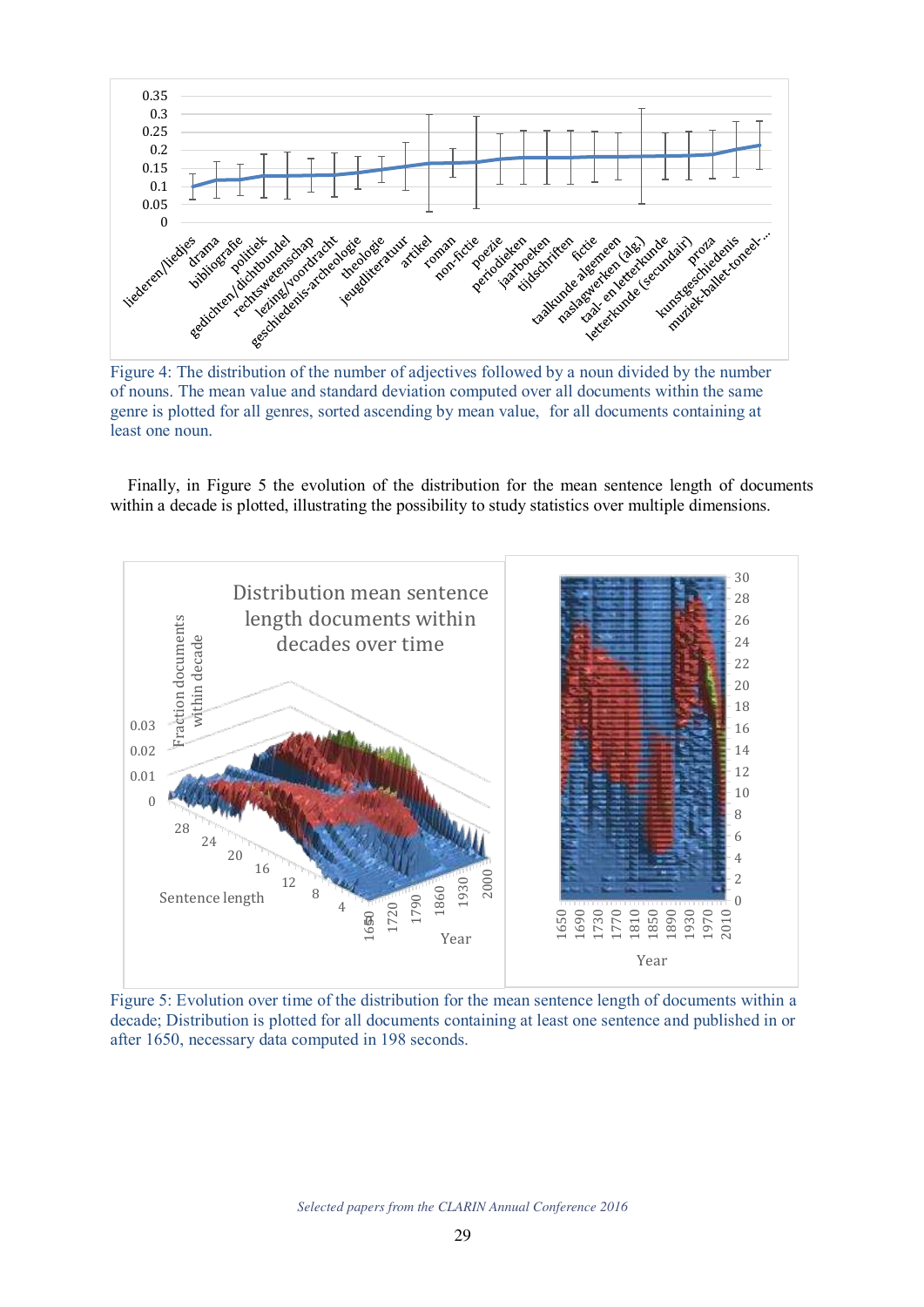

Figure 4: The distribution of the number of adjectives followed by a noun divided by the number of nouns. The mean value and standard deviation computed over all documents within the same genre is plotted for all genres, sorted ascending by mean value, for all documents containing at least one noun.

Finally, in Figure 5 the evolution of the distribution for the mean sentence length of documents within a decade is plotted, illustrating the possibility to study statistics over multiple dimensions.



Figure 5: Evolution over time of the distribution for the mean sentence length of documents within a decade; Distribution is plotted for all documents containing at least one sentence and published in or after 1650, necessary data computed in 198 seconds.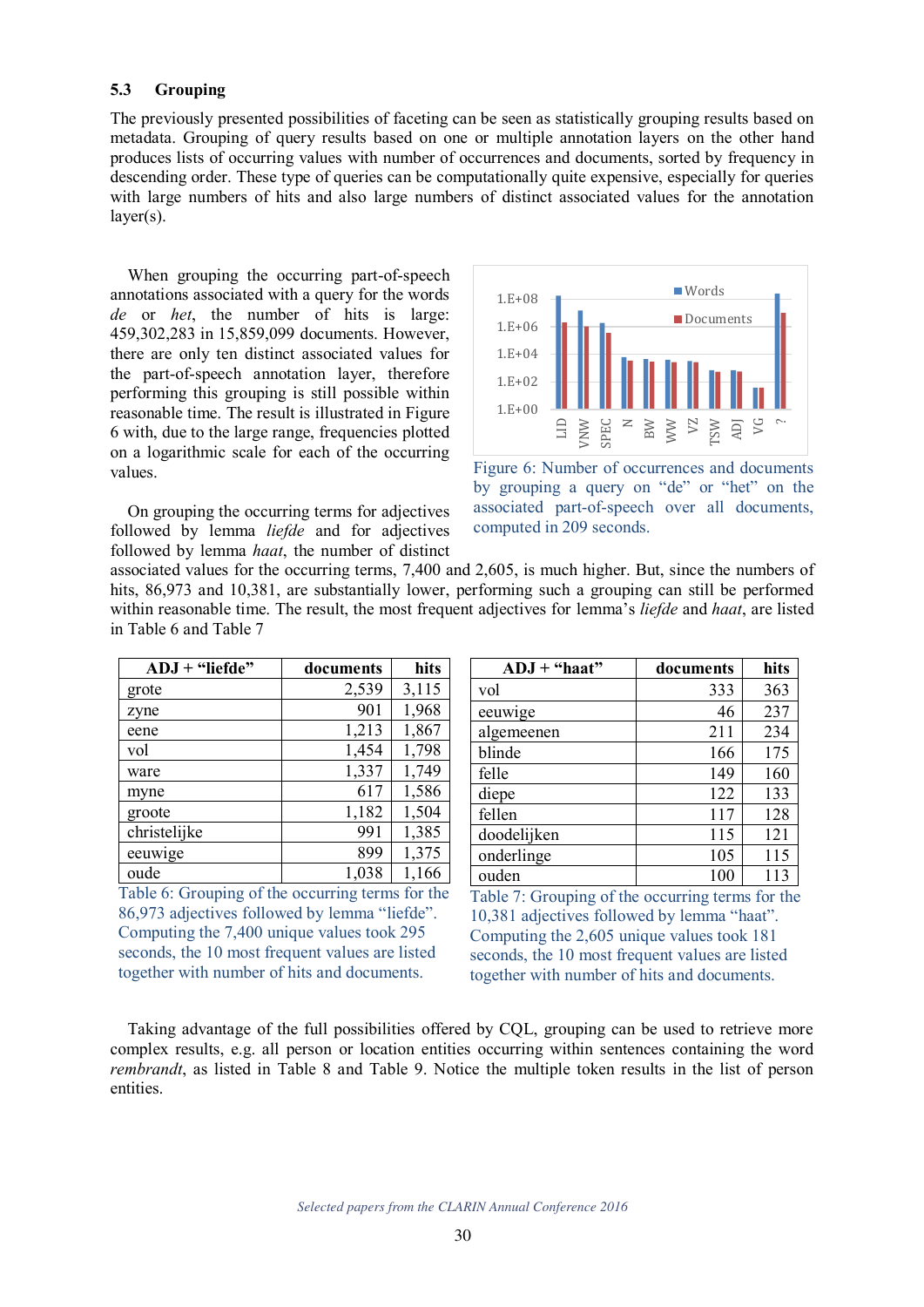#### **5.3 Grouping**

The previously presented possibilities of faceting can be seen as statistically grouping results based on metadata. Grouping of query results based on one or multiple annotation layers on the other hand produces lists of occurring values with number of occurrences and documents, sorted by frequency in descending order. These type of queries can be computationally quite expensive, especially for queries with large numbers of hits and also large numbers of distinct associated values for the annotation layer(s).

When grouping the occurring part-of-speech annotations associated with a query for the words *de* or *het*, the number of hits is large: 459,302,283 in 15,859,099 documents. However, there are only ten distinct associated values for the part-of-speech annotation layer, therefore performing this grouping is still possible within reasonable time. The result is illustrated in Figure 6 with, due to the large range, frequencies plotted on a logarithmic scale for each of the occurring values.

On grouping the occurring terms for adjectives followed by lemma *liefde* and for adjectives followed by lemma *haat*, the number of distinct



Figure 6: Number of occurrences and documents by grouping a query on "de" or "het" on the associated part-of-speech over all documents, computed in 209 seconds.

associated values for the occurring terms, 7,400 and 2,605, is much higher. But, since the numbers of hits, 86,973 and 10,381, are substantially lower, performing such a grouping can still be performed within reasonable time. The result, the most frequent adjectives for lemma's *liefde* and *haat*, are listed in Table 6 and Table 7

| $ADJ + "liefde"$ | documents | hits  |
|------------------|-----------|-------|
| grote            | 2,539     | 3,115 |
| zyne             | 901       | 1,968 |
| eene             | 1,213     | 1,867 |
| vol              | 1,454     | 1,798 |
| ware             | 1,337     | 1,749 |
| myne             | 617       | 1,586 |
| groote           | 1,182     | 1,504 |
| christelijke     | 991       | 1,385 |
| eeuwige          | 899       | 1,375 |
| oude             | 1,038     | 1,166 |

Table 6: Grouping of the occurring terms for the 86,973 adjectives followed by lemma "liefde". Computing the 7,400 unique values took 295 seconds, the 10 most frequent values are listed together with number of hits and documents.

| $ADJ + "haat"$ | documents | hits |
|----------------|-----------|------|
| vol            | 333       | 363  |
| eeuwige        | 46        | 237  |
| algemeenen     | 211       | 234  |
| blinde         | 166       | 175  |
| felle          | 149       | 160  |
| diepe          | 122       | 133  |
| fellen         | 117       | 128  |
| doodelijken    | 115       | 121  |
| onderlinge     | 105       | 115  |
| ouden          | 100       | 113  |

Table 7: Grouping of the occurring terms for the 10,381 adjectives followed by lemma "haat". Computing the 2,605 unique values took 181 seconds, the 10 most frequent values are listed together with number of hits and documents.

Taking advantage of the full possibilities offered by CQL, grouping can be used to retrieve more complex results, e.g. all person or location entities occurring within sentences containing the word *rembrandt*, as listed in Table 8 and Table 9. Notice the multiple token results in the list of person entities.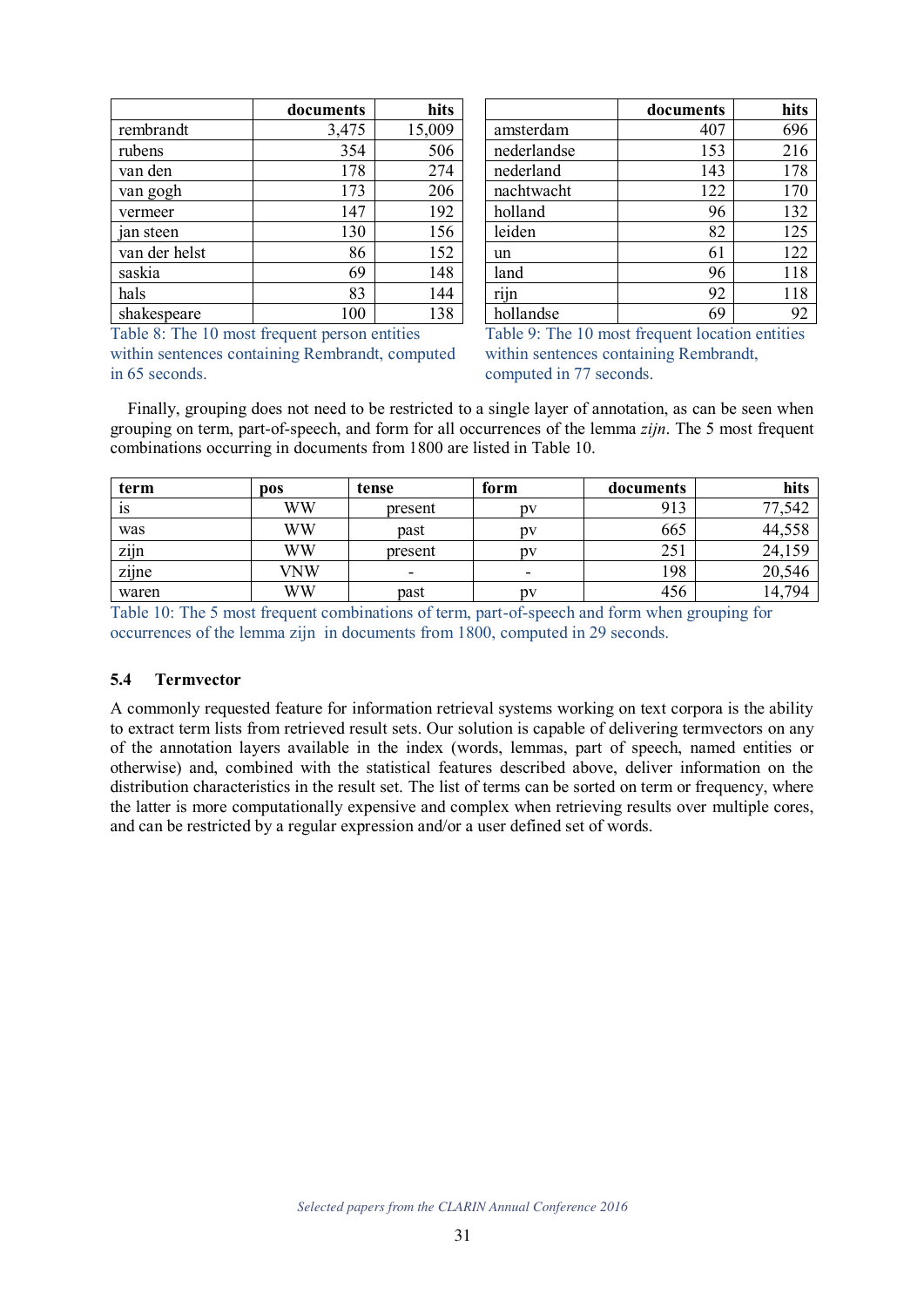|               | documents | hits   |
|---------------|-----------|--------|
| rembrandt     | 3,475     | 15,009 |
| rubens        | 354       | 506    |
| van den       | 178       | 274    |
| van gogh      | 173       | 206    |
| vermeer       | 147       | 192    |
| jan steen     | 130       | 156    |
| van der helst | 86        | 152    |
| saskia        | 69        | 148    |
| hals          | 83        | 144    |
| shakespeare   | 100       | 138    |

|             | documents | hits |
|-------------|-----------|------|
| amsterdam   | 407       | 696  |
| nederlandse | 153       | 216  |
| nederland   | 143       | 178  |
| nachtwacht  | 122       | 170  |
| holland     | 96        | 132  |
| leiden      | 82        | 125  |
| un          | 61        | 122  |
| land        | 96        | 118  |
| rijn        | 92        | 118  |
| hollandse   | 69        | 92   |

Table 8: The 10 most frequent person entities

within sentences containing Rembrandt, computed in 65 seconds.

Table 9: The 10 most frequent location entities within sentences containing Rembrandt, computed in 77 seconds.

Finally, grouping does not need to be restricted to a single layer of annotation, as can be seen when grouping on term, part-of-speech, and form for all occurrences of the lemma *zijn*. The 5 most frequent combinations occurring in documents from 1800 are listed in Table 10.

| term  | <b>pos</b> | tense   | form | documents | hits   |
|-------|------------|---------|------|-----------|--------|
| 1S    | WW         | present | DV   | 913       | 77,542 |
| was   | WW         | past    | pv   | 665       | 44,558 |
| zijn  | WW         | present | pv   | 251       | 24,159 |
| zijne | VNW        | ۰       | ۰    | 198       | 20,546 |
| waren | WW         | past    | DV   | 456       | 14,794 |

Table 10: The 5 most frequent combinations of term, part-of-speech and form when grouping for occurrences of the lemma zijn in documents from 1800, computed in 29 seconds.

### **5.4 Termvector**

A commonly requested feature for information retrieval systems working on text corpora is the ability to extract term lists from retrieved result sets. Our solution is capable of delivering termvectors on any of the annotation layers available in the index (words, lemmas, part of speech, named entities or otherwise) and, combined with the statistical features described above, deliver information on the distribution characteristics in the result set. The list of terms can be sorted on term or frequency, where the latter is more computationally expensive and complex when retrieving results over multiple cores, and can be restricted by a regular expression and/or a user defined set of words.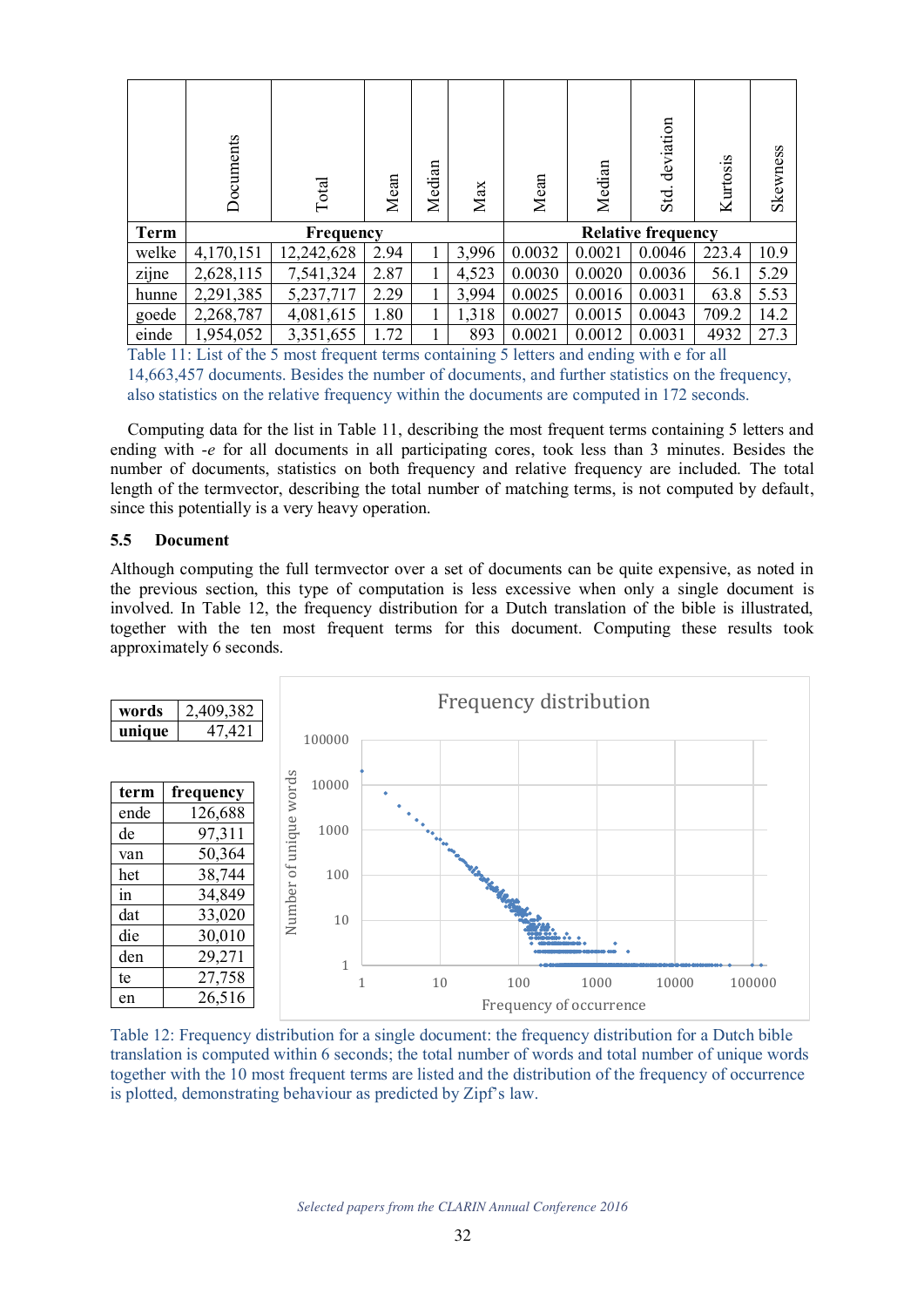|             | Documents | Total      | Mean | Median | Max   | Mean                      | Median | deviation<br>Std. | Kurtosis | Skewness |
|-------------|-----------|------------|------|--------|-------|---------------------------|--------|-------------------|----------|----------|
| <b>Term</b> |           | Frequency  |      |        |       | <b>Relative frequency</b> |        |                   |          |          |
| welke       | 4,170,151 | 12,242,628 | 2.94 |        | 3,996 | 0.0032                    | 0.0021 | 0.0046            | 223.4    | 10.9     |
| zijne       | 2,628,115 | 7,541,324  | 2.87 | 1      | 4,523 | 0.0030                    | 0.0020 | 0.0036            | 56.1     | 5.29     |
| hunne       | 2,291,385 | 5,237,717  | 2.29 | 1      | 3,994 | 0.0025                    | 0.0016 | 0.0031            | 63.8     | 5.53     |
| goede       | 2,268,787 | 4,081,615  | 1.80 | 1      | 1,318 | 0.0027                    | 0.0015 | 0.0043            | 709.2    | 14.2     |
| einde       | 1,954,052 | 3,351,655  | 1.72 |        | 893   | 0.0021                    | 0.0012 | 0.0031            | 4932     | 27.3     |

Table 11: List of the 5 most frequent terms containing 5 letters and ending with e for all 14,663,457 documents. Besides the number of documents, and further statistics on the frequency, also statistics on the relative frequency within the documents are computed in 172 seconds.

Computing data for the list in Table 11, describing the most frequent terms containing 5 letters and ending with -*e* for all documents in all participating cores, took less than 3 minutes. Besides the number of documents, statistics on both frequency and relative frequency are included. The total length of the termvector, describing the total number of matching terms, is not computed by default, since this potentially is a very heavy operation.

# **5.5 Document**

Although computing the full termvector over a set of documents can be quite expensive, as noted in the previous section, this type of computation is less excessive when only a single document is involved. In Table 12, the frequency distribution for a Dutch translation of the bible is illustrated, together with the ten most frequent terms for this document. Computing these results took approximately 6 seconds.



Table 12: Frequency distribution for a single document: the frequency distribution for a Dutch bible translation is computed within 6 seconds; the total number of words and total number of unique words together with the 10 most frequent terms are listed and the distribution of the frequency of occurrence is plotted, demonstrating behaviour as predicted by Zipf's law.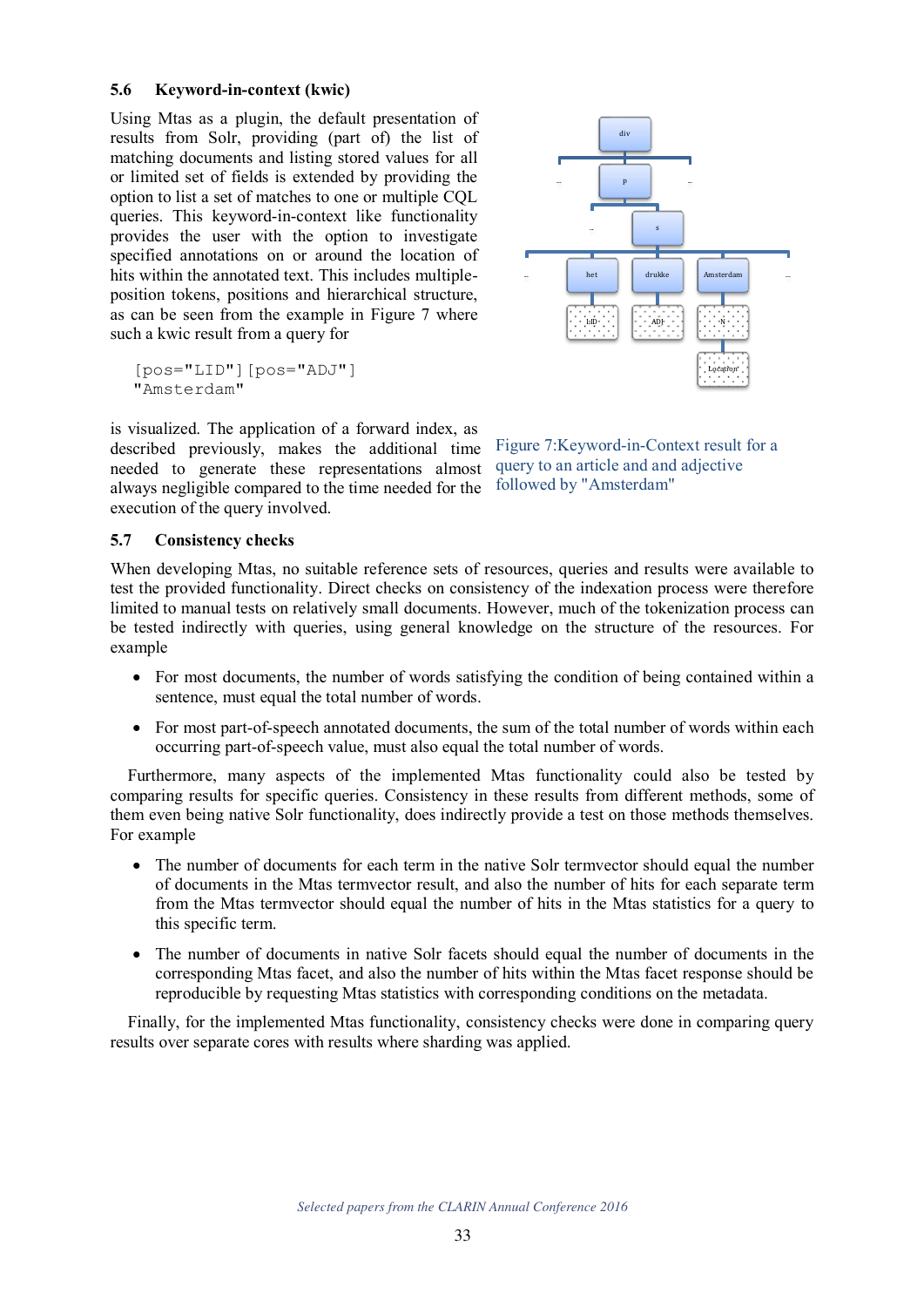### **5.6 Keyword-in-context (kwic)**

Using Mtas as a plugin, the default presentation of results from Solr, providing (part of) the list of matching documents and listing stored values for all or limited set of fields is extended by providing the option to list a set of matches to one or multiple CQL queries. This keyword-in-context like functionality provides the user with the option to investigate specified annotations on or around the location of hits within the annotated text. This includes multipleposition tokens, positions and hierarchical structure, as can be seen from the example in Figure 7 where such a kwic result from a query for

[pos="LID"][pos="ADJ"] "Amsterdam"

is visualized. The application of a forward index, as described previously, makes the additional time needed to generate these representations almost always negligible compared to the time needed for the execution of the query involved.



Figure 7:Keyword-in-Context result for a query to an article and and adjective followed by "Amsterdam"

# **5.7 Consistency checks**

When developing Mtas, no suitable reference sets of resources, queries and results were available to test the provided functionality. Direct checks on consistency of the indexation process were therefore limited to manual tests on relatively small documents. However, much of the tokenization process can be tested indirectly with queries, using general knowledge on the structure of the resources. For example

- For most documents, the number of words satisfying the condition of being contained within a sentence, must equal the total number of words.
- For most part-of-speech annotated documents, the sum of the total number of words within each occurring part-of-speech value, must also equal the total number of words.

Furthermore, many aspects of the implemented Mtas functionality could also be tested by comparing results for specific queries. Consistency in these results from different methods, some of them even being native Solr functionality, does indirectly provide a test on those methods themselves. For example

- The number of documents for each term in the native Solr termvector should equal the number of documents in the Mtas termvector result, and also the number of hits for each separate term from the Mtas termvector should equal the number of hits in the Mtas statistics for a query to this specific term.
- The number of documents in native Solr facets should equal the number of documents in the corresponding Mtas facet, and also the number of hits within the Mtas facet response should be reproducible by requesting Mtas statistics with corresponding conditions on the metadata.

Finally, for the implemented Mtas functionality, consistency checks were done in comparing query results over separate cores with results where sharding was applied.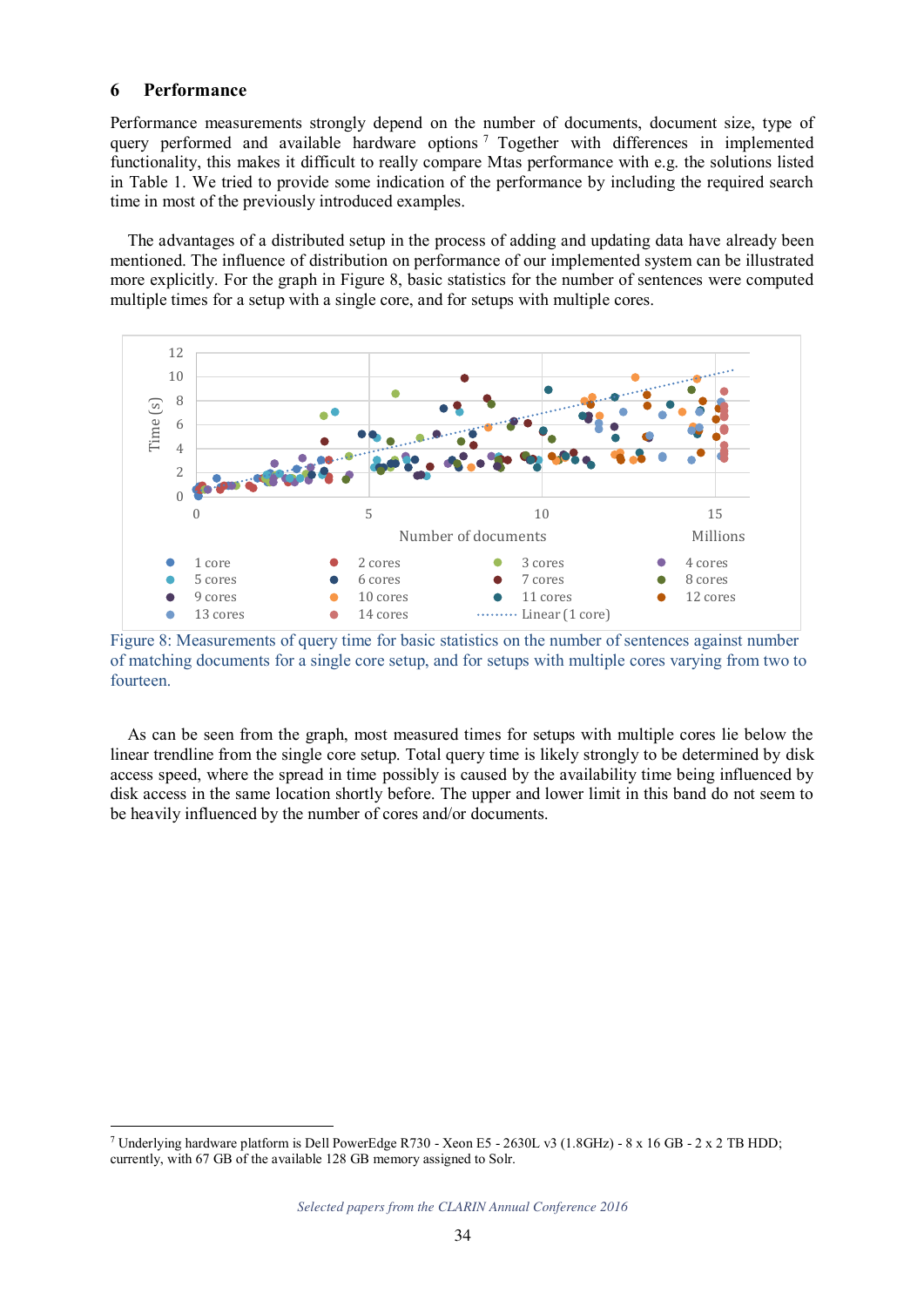# **6 Performance**

Performance measurements strongly depend on the number of documents, document size, type of query performed and available hardware options<sup>7</sup> Together with differences in implemented functionality, this makes it difficult to really compare Mtas performance with e.g. the solutions listed in Table 1. We tried to provide some indication of the performance by including the required search time in most of the previously introduced examples.

The advantages of a distributed setup in the process of adding and updating data have already been mentioned. The influence of distribution on performance of our implemented system can be illustrated more explicitly. For the graph in Figure 8, basic statistics for the number of sentences were computed multiple times for a setup with a single core, and for setups with multiple cores.



Figure 8: Measurements of query time for basic statistics on the number of sentences against number of matching documents for a single core setup, and for setups with multiple cores varying from two to fourteen.

As can be seen from the graph, most measured times for setups with multiple cores lie below the linear trendline from the single core setup. Total query time is likely strongly to be determined by disk access speed, where the spread in time possibly is caused by the availability time being influenced by disk access in the same location shortly before. The upper and lower limit in this band do not seem to be heavily influenced by the number of cores and/or documents.

 7 Underlying hardware platform is Dell PowerEdge R730 - Xeon E5 - 2630L v3 (1.8GHz) - 8 x 16 GB - 2 x 2 TB HDD; currently, with 67 GB of the available 128 GB memory assigned to Solr.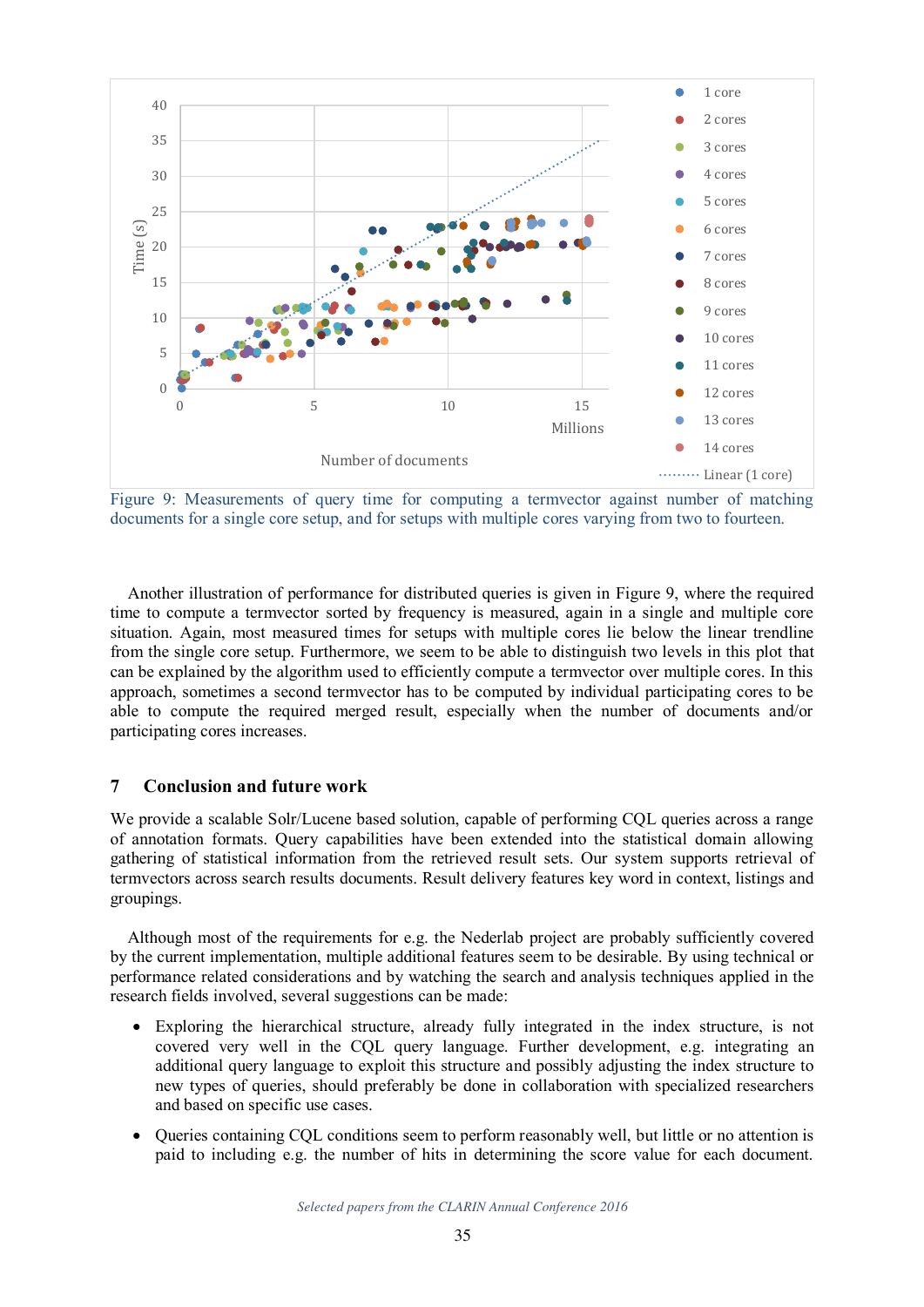

Figure 9: Measurements of query time for computing a termvector against number of matching documents for a single core setup, and for setups with multiple cores varying from two to fourteen.

Another illustration of performance for distributed queries is given in Figure 9, where the required time to compute a termvector sorted by frequency is measured, again in a single and multiple core situation. Again, most measured times for setups with multiple cores lie below the linear trendline from the single core setup. Furthermore, we seem to be able to distinguish two levels in this plot that can be explained by the algorithm used to efficiently compute a termvector over multiple cores. In this approach, sometimes a second termvector has to be computed by individual participating cores to be able to compute the required merged result, especially when the number of documents and/or participating cores increases.

# **7 Conclusion and future work**

We provide a scalable Solr/Lucene based solution, capable of performing CQL queries across a range of annotation formats. Query capabilities have been extended into the statistical domain allowing gathering of statistical information from the retrieved result sets. Our system supports retrieval of termvectors across search results documents. Result delivery features key word in context, listings and groupings.

Although most of the requirements for e.g. the Nederlab project are probably sufficiently covered by the current implementation, multiple additional features seem to be desirable. By using technical or performance related considerations and by watching the search and analysis techniques applied in the research fields involved, several suggestions can be made:

- Exploring the hierarchical structure, already fully integrated in the index structure, is not covered very well in the CQL query language. Further development, e.g. integrating an additional query language to exploit this structure and possibly adjusting the index structure to new types of queries, should preferably be done in collaboration with specialized researchers and based on specific use cases.
- Queries containing CQL conditions seem to perform reasonably well, but little or no attention is paid to including e.g. the number of hits in determining the score value for each document.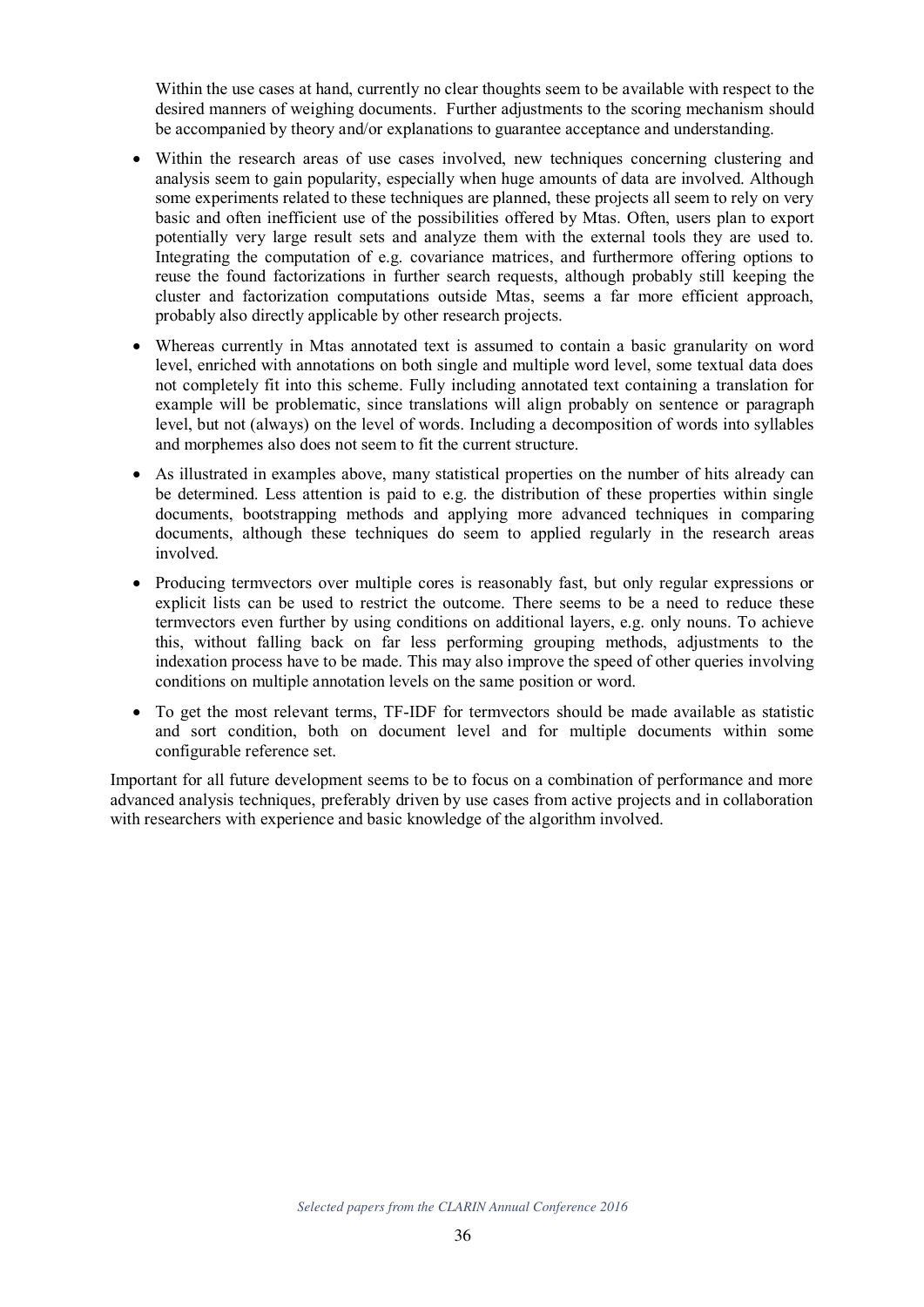Within the use cases at hand, currently no clear thoughts seem to be available with respect to the desired manners of weighing documents. Further adjustments to the scoring mechanism should be accompanied by theory and/or explanations to guarantee acceptance and understanding.

- Within the research areas of use cases involved, new techniques concerning clustering and analysis seem to gain popularity, especially when huge amounts of data are involved. Although some experiments related to these techniques are planned, these projects all seem to rely on very basic and often inefficient use of the possibilities offered by Mtas. Often, users plan to export potentially very large result sets and analyze them with the external tools they are used to. Integrating the computation of e.g. covariance matrices, and furthermore offering options to reuse the found factorizations in further search requests, although probably still keeping the cluster and factorization computations outside Mtas, seems a far more efficient approach, probably also directly applicable by other research projects.
- Whereas currently in Mtas annotated text is assumed to contain a basic granularity on word level, enriched with annotations on both single and multiple word level, some textual data does not completely fit into this scheme. Fully including annotated text containing a translation for example will be problematic, since translations will align probably on sentence or paragraph level, but not (always) on the level of words. Including a decomposition of words into syllables and morphemes also does not seem to fit the current structure.
- As illustrated in examples above, many statistical properties on the number of hits already can be determined. Less attention is paid to e.g. the distribution of these properties within single documents, bootstrapping methods and applying more advanced techniques in comparing documents, although these techniques do seem to applied regularly in the research areas involved.
- Producing termvectors over multiple cores is reasonably fast, but only regular expressions or explicit lists can be used to restrict the outcome. There seems to be a need to reduce these termvectors even further by using conditions on additional layers, e.g. only nouns. To achieve this, without falling back on far less performing grouping methods, adjustments to the indexation process have to be made. This may also improve the speed of other queries involving conditions on multiple annotation levels on the same position or word.
- To get the most relevant terms, TF-IDF for termvectors should be made available as statistic and sort condition, both on document level and for multiple documents within some configurable reference set.

Important for all future development seems to be to focus on a combination of performance and more advanced analysis techniques, preferably driven by use cases from active projects and in collaboration with researchers with experience and basic knowledge of the algorithm involved.